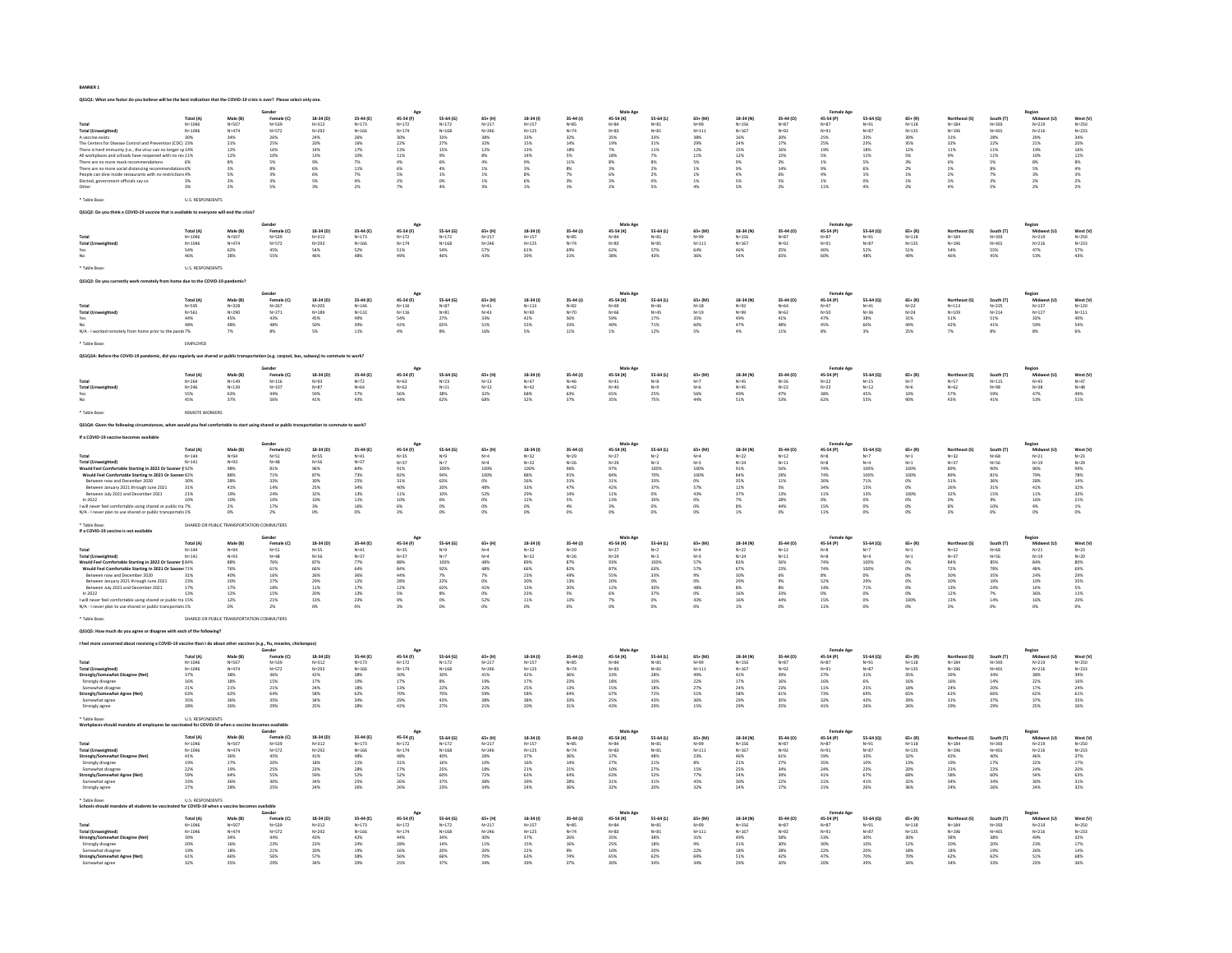|                                                                                                                              | Gender<br>Male Ag                                                                                                                                      |                                             |                         |                                             |                                             |                                             |                                                  |                                             |                        |                       |                                             |                       |                                           |                                             |                                                     |                                             |                                                  |                                           |                                             |                                             |                                             |                                                                |
|------------------------------------------------------------------------------------------------------------------------------|--------------------------------------------------------------------------------------------------------------------------------------------------------|---------------------------------------------|-------------------------|---------------------------------------------|---------------------------------------------|---------------------------------------------|--------------------------------------------------|---------------------------------------------|------------------------|-----------------------|---------------------------------------------|-----------------------|-------------------------------------------|---------------------------------------------|-----------------------------------------------------|---------------------------------------------|--------------------------------------------------|-------------------------------------------|---------------------------------------------|---------------------------------------------|---------------------------------------------|----------------------------------------------------------------|
|                                                                                                                              | Total (A)                                                                                                                                              | Male (B)                                    | Female (C)              | 18-34 (D)                                   | 35-44 (E)                                   | 45-54 (F)                                   | 55-64 (G)                                        | $65+ (H)$                                   | 18-34 (1)              | $35-44(1)$            | 45-54 (K)                                   | 55-64 (L)             | $65 + (M)$                                | 18-34 (N)                                   | 35-44 (O)                                           | 45-54 (P)                                   | 55-64 (Q)                                        | $65+ (R)$                                 | Northeast (S)                               | South (T)                                   | Region<br>Midwest (U)                       | West (V)                                                       |
|                                                                                                                              | $N=1046$<br>$N=1046$                                                                                                                                   | N=507<br>N=474                              | $N = 539$               | N=312<br>N=292                              | $N=173$<br>$N=166$                          | $N=172$<br>$N=174$                          | $N=172$<br>$N=168$                               | $N=217$<br>$N=246$                          | N=157<br>N=125         | N=85<br>N=74          | N=84<br>N=83                                | N=81<br>N=81          | N=99<br>N=111                             | N=156<br>N=167                              | N=87<br>N=92                                        | $N = 87$<br>$N = 91$                        | N=91<br>N=87                                     | $N=118$<br>$N=135$                        | $N = 184$                                   | N=393<br>N=401                              | $N = 219$                                   | $N=250$<br>$N=233$                                             |
| <b>Total (Unweighted</b>                                                                                                     |                                                                                                                                                        |                                             | $N = 572$               |                                             |                                             |                                             |                                                  |                                             |                        |                       |                                             |                       |                                           |                                             |                                                     |                                             |                                                  |                                           | $N = 196$                                   |                                             | $N = 216$                                   |                                                                |
| A vaccine exists<br>The Centers for Disease Control and Prevention (CDC) 23%                                                 | 30%                                                                                                                                                    | 34%<br>21%                                  | 26%<br>25%              | 24%<br>20%                                  | 26%<br>16%                                  | 30%<br>22%                                  | 33%<br>27%                                       | 38%<br>32%                                  | 33%<br>15%             | 32%<br>14%            | 35%<br>19%                                  | 33%<br>31%            | 38%<br>29%                                | 16%<br>24%                                  | 20%<br>17%                                          | 25%<br>25%                                  | 33%<br>23%                                       | 39%<br>35%                                | 31%<br>32%                                  | 28%<br>22%                                  | 29%<br>21%                                  | 34%<br>20%                                                     |
|                                                                                                                              |                                                                                                                                                        | 12%                                         |                         |                                             | 17%                                         |                                             | 15%                                              | 12%                                         |                        | 18%                   |                                             |                       | 12%                                       |                                             | 16%                                                 |                                             |                                                  | 12%                                       | 11%                                         | 11%                                         |                                             |                                                                |
| There is herd immunity (i.e., the virus can no longer $sp14\%$ All workplaces and schools have reopened with no res $11\%$   |                                                                                                                                                        | 12%                                         | $\frac{16\%}{10\%}$     | $\begin{array}{l} 14\% \\ 13\% \end{array}$ | 10%                                         | $^{13\%}_{11\%}$                            | $9\%$                                            | 8%                                          | $\frac{13\%}{14\%}$    | 5%                    | $\frac{7\%}{18\%}$                          | $\frac{11\%}{7\%}$    | $11\%$                                    | $\begin{array}{l} 15\% \\ 12\% \end{array}$ | 15%                                                 | 19%<br>5%                                   | $\begin{array}{l} 18\% \\ 11\% \end{array}$      |                                           |                                             | $11\%$                                      | $\frac{19\%}{10\%}$                         | $\begin{array}{l} 16\% \\ 12\% \end{array}$                    |
| There are no more mask recommendations                                                                                       | 6%                                                                                                                                                     | 8%                                          | 5%                      | 9%                                          | 7%                                          | 4%                                          | 6%                                               | 4%                                          | 9%                     | 11%                   | 8%                                          | $8\%$                 | 5%                                        | 9%                                          | 3%                                                  | 1%                                          | 5%                                               | 3%                                        | 6%                                          | 5%                                          | 8%                                          |                                                                |
| There are no more social distancing recommendations 6%<br>People can dine inside restaurants with no restrictions 4%         |                                                                                                                                                        | 3%<br>5%                                    | 8%<br>3%                | 6%<br>6%                                    | 11%<br>7%                                   | 6%<br>5%                                    | $\begin{array}{c} 4\% \\ 1\% \end{array}$        | $\begin{array}{l} 1\% \\ 1\% \end{array}$   | 3%<br>8%               | $\frac{8\%}{7\%}$     | 3%<br>6%                                    | $\frac{2\%}{2\%}$     | $\begin{array}{l} 1\% \\ 1\% \end{array}$ | $\frac{9\%}{4\%}$                           | $\frac{14\%}{6\%}$                                  | 9%<br>4%                                    | $\begin{array}{c} 6\% \\ 1\% \end{array}$        | $\begin{array}{l} 2\% \\ 1\% \end{array}$ | $\frac{2\%}{2\%}$                           | 8%<br>7%                                    | 5%<br>3%                                    | $\begin{array}{l} 8\% \\ 4\% \\ 3\% \\ 2\% \\ 2\% \end{array}$ |
| Elected, government officials say so                                                                                         | 3%                                                                                                                                                     | 3%                                          | 3%                      | 5%                                          |                                             |                                             |                                                  | $1\%$                                       | 6%                     | 3%                    | 3%                                          | $0\%$                 | 1%                                        | $5\%$                                       |                                                     |                                             | $\frac{0\%}{4\%}$                                | 1%                                        | $3\%$                                       | 3%                                          |                                             |                                                                |
|                                                                                                                              | 3%                                                                                                                                                     | 2%                                          | 5%                      | 3%                                          | $\begin{array}{l} 4\% \\ 2\% \end{array}$   | $\frac{2\%}{7\%}$                           | $\begin{array}{l} 0\% \\ 4\% \end{array}$        | 3%                                          | 1%                     | $1\%$                 | 2%                                          | 5%                    | 4%                                        | 5%                                          | 5%<br>2%                                            | $\begin{array}{l} 1\% \\ 11\% \end{array}$  |                                                  | 2%                                        | 4%                                          | 5%                                          | $2\%$ 2%                                    |                                                                |
| Table Base                                                                                                                   | U.S. RESPONDENTS                                                                                                                                       |                                             |                         |                                             |                                             |                                             |                                                  |                                             |                        |                       |                                             |                       |                                           |                                             |                                                     |                                             |                                                  |                                           |                                             |                                             |                                             |                                                                |
|                                                                                                                              |                                                                                                                                                        |                                             |                         |                                             |                                             |                                             |                                                  |                                             |                        |                       |                                             |                       |                                           |                                             |                                                     |                                             |                                                  |                                           |                                             |                                             |                                             |                                                                |
| .<br>LQ2: Do you think a COVID-19 vaccine that is available to everyone will end the crisis                                  |                                                                                                                                                        |                                             |                         |                                             |                                             |                                             |                                                  |                                             |                        |                       |                                             |                       |                                           |                                             |                                                     |                                             |                                                  |                                           |                                             |                                             |                                             |                                                                |
|                                                                                                                              |                                                                                                                                                        |                                             |                         |                                             |                                             |                                             |                                                  |                                             |                        |                       |                                             |                       |                                           |                                             |                                                     |                                             |                                                  |                                           |                                             |                                             |                                             |                                                                |
|                                                                                                                              | Total (A)                                                                                                                                              | Male (B)                                    | Female (C)              | 18-34 (D)                                   | 35-44 (E)                                   | 45-54 (F)                                   | 55-64 (G)                                        | $65+ (H)$                                   | 18-34 (1)              | $35-44(1)$            | Male Age<br>45-54 (K)                       | 55-64 (L)             | $65 + (M)$                                | 18-34 (N)                                   | 35-44 (O)                                           | 45-54 (P)                                   | 55-64 (Q)                                        | $65+ (R)$                                 | Northeast (S)                               | South (T)                                   | Region<br>Midwest (U)                       | West (V)                                                       |
|                                                                                                                              |                                                                                                                                                        |                                             |                         |                                             |                                             |                                             |                                                  |                                             |                        |                       |                                             |                       |                                           |                                             |                                                     |                                             |                                                  |                                           |                                             |                                             |                                             |                                                                |
| Total (U)                                                                                                                    | $N=1046$<br>$N=1046$                                                                                                                                   | $N = 507$<br>$N = 474$                      | N=539<br>N=572          | $N = 312$<br>$N = 292$                      | $N=173$<br>$N=166$                          | $N=172$<br>$N=174$                          | $N=172$<br>$N=168$                               | $N=217$<br>$N=246$                          | $N=157$<br>$N=125$     | N=85<br>N=74          | N=84<br>N=83                                | $N=81$<br>$N=81$      | $N = 99$<br>$N = 111$                     | $N=156$<br>$N=167$                          | $N=87$<br>$N=92$                                    | N=87<br>N=91                                | N=91<br>N=87                                     | $N=118$<br>$N=135$                        | $N=184$<br>$N=196$                          | N=393<br>N=401                              | $N=219$<br>$N=216$                          | $N=250$<br>$N=233$                                             |
| Yes<br>No                                                                                                                    | 54%                                                                                                                                                    | 62%                                         | 45%                     | 54%<br>46%                                  | 52%<br>48%                                  | $51\%$                                      | 54%<br>46%                                       | 57%                                         | 61%                    | 69%                   | 62%<br>38%                                  | 57%                   | 64%                                       | 46%                                         | 35%                                                 | 40%<br>60%                                  | 52%                                              | 51%                                       | 54%                                         | 55%                                         | 47%<br>53%                                  | $\begin{array}{l} 57\% \\ 43\% \end{array}$                    |
|                                                                                                                              | 46%                                                                                                                                                    | 38%                                         | 55%                     |                                             |                                             | 49%                                         |                                                  | 43%                                         | 39%                    | $31\%$                |                                             | 43%                   | 36%                                       | 54%                                         | 65%                                                 |                                             | 48%                                              | 49%                                       | 46%                                         | 45%                                         |                                             |                                                                |
|                                                                                                                              | U.S. RESPONDENT!                                                                                                                                       |                                             |                         |                                             |                                             |                                             |                                                  |                                             |                        |                       |                                             |                       |                                           |                                             |                                                     |                                             |                                                  |                                           |                                             |                                             |                                             |                                                                |
|                                                                                                                              |                                                                                                                                                        |                                             |                         |                                             |                                             |                                             |                                                  |                                             |                        |                       |                                             |                       |                                           |                                             |                                                     |                                             |                                                  |                                           |                                             |                                             |                                             |                                                                |
| QS1Q3: Do you currently work remotely from home due to the                                                                   |                                                                                                                                                        | OVID-19 pandemic                            |                         |                                             |                                             |                                             |                                                  |                                             |                        |                       |                                             |                       |                                           |                                             |                                                     |                                             |                                                  |                                           |                                             |                                             |                                             |                                                                |
|                                                                                                                              |                                                                                                                                                        |                                             |                         |                                             |                                             | Ag                                          |                                                  |                                             |                        |                       | Male Ago                                    |                       |                                           |                                             |                                                     |                                             |                                                  |                                           |                                             |                                             |                                             |                                                                |
|                                                                                                                              | Total (A)                                                                                                                                              | Male (B)                                    | Female (C)              | 18-34 (D)                                   | 35-44 (E)                                   | 45-54 (F)                                   | 55-64 (G)                                        | $65+ (H)$                                   | 18-34 (1)              | $35-44(1)$            | 45-54 (K)                                   | 55-64 (L)             | $65 + (M)$                                | 18-34 (N)                                   | 35-44 (0)                                           | 45-54 (P)                                   | 55-64 (Q)                                        | $65+ (R)$                                 | Northeast (S)                               | South (T)                                   | Region<br>Midwest (U)                       | West (V)                                                       |
|                                                                                                                              | N=595<br>N=561                                                                                                                                         | $N = 328$<br>$N = 290$                      | $N=267$<br>$N=271$      | N=205<br>N=189                              | $N = 146$<br>$N = 132$                      | $N=116$<br>$N=116$                          | N=87<br>N=81                                     | $N = 41$<br>$N = 43$                        | $N=113$<br>$N=90$      | $N = 82$<br>$N = 70$  | N=69<br>N=66                                | N=46<br>N=45          | $N = 18$<br>$N = 19$                      | N=92<br>N=99                                | N=64<br>N=62                                        | N=47<br>N=50                                | N=41<br>N=36                                     | $N = 22$<br>$N = 24$                      | $N=113$<br>$N=109$                          | $N=225$<br>$N=214$                          | $N=137$<br>$N=127$                          | $N=120$<br>$N=111$                                             |
| Total (U<br>Yes                                                                                                              | 44%                                                                                                                                                    | 45%                                         |                         |                                             |                                             |                                             |                                                  | 33%                                         |                        |                       |                                             |                       |                                           |                                             |                                                     |                                             |                                                  | 31%                                       |                                             |                                             |                                             |                                                                |
|                                                                                                                              | $48\%$                                                                                                                                                 | 48%                                         | 43%<br>48%              | 45%<br>50%<br>5%                            | 49%<br>39%<br>11%                           | 54%<br>42%                                  | $\frac{27\%}{65\%}$                              | $51\%$                                      | 42%<br>53%             | 56%<br>33%<br>11%     | 59%<br>40%<br>1%                            | $\frac{17\%}{71\%}$   | 35%<br>60%                                | 49%<br>47%                                  | $\begin{array}{l} 41\% \\ 48\% \\ 11\% \end{array}$ | 47%<br>45%                                  | 38%<br>60%                                       | 44%                                       | $\begin{array}{l} 51\% \\ 42\% \end{array}$ | $\begin{array}{c} 51\% \\ 41\% \end{array}$ | 33%<br>59%<br>8%                            | 40%<br>54%<br>6%                                               |
| N/A - I worked remotely from home prior to the pandr 7%                                                                      |                                                                                                                                                        | 7%                                          | 8%                      |                                             |                                             | 4%                                          | 8%                                               | 16%                                         | 5%                     |                       |                                             | 12%                   | 5%                                        | 4%                                          |                                                     | 8%                                          | 3%                                               | 25%                                       | 7%                                          | 8%                                          |                                             |                                                                |
| Table Rase                                                                                                                   | EMPLOYED                                                                                                                                               |                                             |                         |                                             |                                             |                                             |                                                  |                                             |                        |                       |                                             |                       |                                           |                                             |                                                     |                                             |                                                  |                                           |                                             |                                             |                                             |                                                                |
|                                                                                                                              |                                                                                                                                                        |                                             |                         |                                             |                                             |                                             |                                                  |                                             |                        |                       |                                             |                       |                                           |                                             |                                                     |                                             |                                                  |                                           |                                             |                                             |                                             |                                                                |
| he COVID-19 pandemic, did you regularly use shared or public transpo<br>tion (e.g. carpool, bus, subway) to commute to work? |                                                                                                                                                        |                                             |                         |                                             |                                             |                                             |                                                  |                                             |                        |                       |                                             |                       |                                           |                                             |                                                     |                                             |                                                  |                                           |                                             |                                             |                                             |                                                                |
|                                                                                                                              |                                                                                                                                                        |                                             |                         |                                             |                                             |                                             |                                                  |                                             |                        |                       |                                             |                       |                                           |                                             |                                                     |                                             |                                                  |                                           |                                             |                                             |                                             |                                                                |
|                                                                                                                              | Total (A)                                                                                                                                              | Male (B)                                    | Sender<br>Female (C)    | 18-34 (D)                                   | 35-44 (E)                                   | Age<br>45-54 (F)                            | 55-64 (G)                                        | $65 + (H)$                                  | $18-34(1)$             | $35-44(1)$            | Male Age<br>45-54 (K)                       | 55-64 (L)             | $65 + (M)$                                | 18-34 (N)                                   | 35-44 (0)                                           | <b>Female Age</b><br>45-54 (P)              | 55-64 (Q)                                        | $65 + (R)$                                | Northeast (S)                               | South (T)                                   | Region<br>Midwest (U)                       | West (V)                                                       |
|                                                                                                                              | $N = 264$                                                                                                                                              | $N = 149$                                   | $N = 116$               | N=93                                        | $N=72$                                      | $_{\mathsf{N=63}}$                          | $N=23$                                           | $N=13$                                      | $N=47$                 | N=46                  | $N = 41$                                    | $N=8$                 | $N=7$                                     | $_{\rm N=45}$                               | $N=26$                                              | $N=22$                                      | $N=15$                                           | $N=7$                                     | $N=57$                                      | $N = 115$                                   | $N=45$                                      | $N=47$                                                         |
| <b>Total (Un</b>                                                                                                             | $N = 246$                                                                                                                                              | $N = 139$                                   | $N = 107$               | $N=87$                                      | $N = 64$                                    | $N = 62$                                    | $N = 21$                                         | $N=12$                                      | $N=42$                 | $N=42$                | $N = 40$                                    | $N = 9$               | $N=6$                                     | $N = 45$                                    | $N=22$                                              | $N=22$                                      | $N = 12$                                         | $N=6$                                     | $N = 62$                                    | $N = 98$                                    | $N = 38$                                    | $N = 48$                                                       |
| Yes                                                                                                                          | 55%<br>45%                                                                                                                                             | $63\%$<br>37%                               | 44%<br>56%              | $\frac{59\%}{41\%}$                         | 57%<br>43%                                  | 56%<br>44%                                  | $\frac{38\%}{62\%}$                              | 32%<br>68%                                  | 68%<br>32%             | 63%<br>37%            | 65%<br>35%                                  | 25%<br>75%            | 56%<br>44%                                | 49%<br>51%                                  | $\begin{array}{l} 47\% \\ 53\% \end{array}$         | 38%<br>62%                                  | 45%<br>55%                                       | 10%<br>90%                                | 57%<br>43%                                  | 59%<br>41%                                  | 47%<br>53%                                  | 49%<br>51%                                                     |
|                                                                                                                              |                                                                                                                                                        |                                             |                         |                                             |                                             |                                             |                                                  |                                             |                        |                       |                                             |                       |                                           |                                             |                                                     |                                             |                                                  |                                           |                                             |                                             |                                             |                                                                |
|                                                                                                                              | <b>REMOTE WORKERS</b>                                                                                                                                  |                                             |                         |                                             |                                             |                                             |                                                  |                                             |                        |                       |                                             |                       |                                           |                                             |                                                     |                                             |                                                  |                                           |                                             |                                             |                                             |                                                                |
|                                                                                                                              |                                                                                                                                                        |                                             |                         |                                             |                                             |                                             |                                                  |                                             |                        |                       |                                             |                       |                                           |                                             |                                                     |                                             |                                                  |                                           |                                             |                                             |                                             |                                                                |
|                                                                                                                              | leel comfortable to start using shared or public transportation to commute to work?<br>OS1O4: Given the following circumstances, when would you        |                                             |                         |                                             |                                             |                                             |                                                  |                                             |                        |                       |                                             |                       |                                           |                                             |                                                     |                                             |                                                  |                                           |                                             |                                             |                                             |                                                                |
| COVID-19 vaccine becomes available<br>Gender<br>Male Age<br><b>Female Age</b>                                                |                                                                                                                                                        |                                             |                         |                                             |                                             |                                             |                                                  |                                             |                        |                       |                                             |                       |                                           |                                             |                                                     |                                             |                                                  |                                           |                                             |                                             |                                             |                                                                |
|                                                                                                                              |                                                                                                                                                        |                                             |                         |                                             |                                             | Age                                         |                                                  |                                             |                        |                       |                                             |                       |                                           |                                             |                                                     |                                             |                                                  |                                           |                                             |                                             | Region                                      |                                                                |
| Total                                                                                                                        | Total (A)<br>$N = 144$                                                                                                                                 | Male (B)<br>$N = 94$                        | Female (C)<br>$N = 51$  | 18-34 (D)<br>$N = 55$                       | 35-44 (E)<br>$N = 41$                       | 45-54 (F)<br>$N = 35$                       | 55-64 (G)<br>$N = 9$                             | $65+ (H)$<br>$N = 4$                        | $18-34(1)$<br>$N = 32$ | 35-44 (J)<br>$N = 29$ | 45-54 (K)<br>$N=27$                         | 55-64 (L)<br>$N=2$    | 65+ (M)<br>$N=4$                          | 18-34 (N)<br>$N=22$                         | 35-44 (O)<br>$N=12$                                 | 45-54 (P)<br>$N = 8$                        | 55-64 (Q)<br>$N=7$                               | $65+ (R)$<br>$N = 1$                      | $N = 32$                                    | South (T)<br>$N = 68$                       | Mids<br>$N = 21$                            | West (V)<br>$N = 23$                                           |
| Total (Un                                                                                                                    | $N = 141$                                                                                                                                              | $N = 93$                                    |                         | N=56                                        | N=37                                        | $N=37$                                      | $N=7$                                            | $N = 4$                                     | $N = 32$               | $N = 26$              |                                             | $N = 3$               | $N=3$                                     | $N=24$                                      | $N=11$                                              | $N=8$                                       | $N = 4$                                          | $N=1$                                     | $N=37$                                      | N=56                                        | $N=19$                                      | $N=29$                                                         |
| Would Feel Comfortable Starting in 2022 Or Sooner (192%                                                                      |                                                                                                                                                        | 98%                                         | $N = 48$<br>81%         | 96%                                         | 84%                                         | 91%                                         | 100%                                             | 100%                                        | 100%                   | 96%                   | N=29<br>97%                                 | 100%                  | 100%                                      | 91%                                         | 56%                                                 | 74%                                         | 100%                                             | 100%                                      | 89%                                         | 90%                                         | 96%                                         | 99%                                                            |
| Would Feel Comfortable Starting In 2021 Or Sooner 82%                                                                        |                                                                                                                                                        | 88%                                         | $71\%$<br>33%           | 87%                                         | 73%                                         | 82%                                         | 94%                                              | 100%                                        | 88%<br>26%             | 91%                   | 84%<br>31%                                  | 70%                   | 100%                                      | 84%<br>35%                                  | 28%                                                 | 74%<br>30%                                  | 100%                                             | 100%                                      | 89%<br>31%                                  | 81%                                         | 79%<br>28%                                  | 78%<br>14%                                                     |
| Between now and December 2020<br>Between January 2021 through June 2021                                                      | 30%<br>31%                                                                                                                                             | 28%<br>41%                                  | 14%                     | 30%                                         | 25%<br>34%                                  | 31%                                         | 63%                                              | 0%<br>48%                                   |                        | 31%                   |                                             | 33%<br>37%            | 0%<br>57%                                 |                                             | 11%                                                 |                                             | 71%<br>15%                                       | 0%<br>cros.                               |                                             | 36%<br>31%                                  |                                             |                                                                |
| Between July 2021 and December 2021                                                                                          | $21\%$                                                                                                                                                 | 19%                                         | 24%                     | 25%<br>32%                                  | 13%                                         | $\begin{array}{l} 40\% \\ 11\% \end{array}$ | 20%<br>10%                                       | $52\%$                                      | 33%<br>29%             | 47%<br>14%            | $\begin{array}{l} 42\% \\ 11\% \end{array}$ | 0%                    | 43%                                       | 12%<br>37%                                  | 5%<br>13%                                           | $\begin{array}{l} 34\% \\ 11\% \end{array}$ | 13%                                              | 100%                                      | 26%<br>32%                                  | 15%                                         | $\begin{array}{l} 41\% \\ 11\% \end{array}$ | $32%$<br>$32%$                                                 |
| In 2022                                                                                                                      | 10%                                                                                                                                                    | 10%                                         | 10%                     | 10%                                         | $\begin{array}{l} 11\% \\ 16\% \end{array}$ | $\frac{10\%}{6\%}$<br>3%                    | $\begin{array}{c} 6\% \\ 0\% \\ 0\% \end{array}$ | $0\%$                                       | 12%                    | $5\%$ 4%              | $13\%$                                      | 30%                   | 0%                                        | $7\%$                                       | 28%<br>44%                                          | 0%<br>15%<br>11%                            | $\begin{array}{c} 0\% \\ 0\% \\ 0\% \end{array}$ | 0%                                        | $\begin{array}{l} 0\% \\ 8\% \end{array}$   | 9%<br>10%                                   | $\begin{array}{l} 16\% \\ 4\% \end{array}$  | $\begin{array}{r} 21\% \\ 1\% \\ 0\% \end{array}$              |
| will never feel comfortable using shared or public tra 7%<br>N/A - I never plan to use shared or public transportatic 1%     |                                                                                                                                                        | 2%<br>n%                                    | 17%<br>2%               | 3%<br>0%                                    | 0%                                          |                                             |                                                  | 0%<br>0%                                    | 0%<br>0%               | 0%                    | 3%<br>0%                                    | 0%<br>0%              | 0%<br>0%                                  | 8%<br>1%                                    | 0%                                                  |                                             |                                                  | 0%<br>$\alpha$                            | 3%                                          | 0%                                          | 0%                                          |                                                                |
|                                                                                                                              |                                                                                                                                                        |                                             |                         |                                             |                                             |                                             |                                                  |                                             |                        |                       |                                             |                       |                                           |                                             |                                                     |                                             |                                                  |                                           |                                             |                                             |                                             |                                                                |
| Table Base:                                                                                                                  |                                                                                                                                                        |                                             |                         |                                             |                                             |                                             |                                                  |                                             |                        |                       |                                             |                       |                                           |                                             |                                                     |                                             |                                                  |                                           |                                             |                                             |                                             |                                                                |
|                                                                                                                              | SHARED OR PUBLIC TRANSPORTATION COMMUTERS<br>If a COVID-19 vaccine is not available<br>Gender<br>Age<br><b>Male Age</b><br><b>Female Age</b><br>Region |                                             |                         |                                             |                                             |                                             |                                                  |                                             |                        |                       |                                             |                       |                                           |                                             |                                                     |                                             |                                                  |                                           |                                             |                                             |                                             |                                                                |
|                                                                                                                              | Total (A                                                                                                                                               | Male (B)                                    | Female (C)              | 18-34 (D)                                   | 35-44 (E)                                   | 45-54 (F)                                   | 55-64 (G)                                        | $65+ (H)$                                   | $18-34(1)$             | $35-44(1)$            | 45-54 (K)                                   | 55-64 (L)             | $65 + (M)$                                | 18-34 (N)                                   | 35-44 (0)                                           | 45-54 (P)                                   | 55-64 (Q)                                        | $65+ (R)$                                 | Northeast (S)                               | South (T)                                   | $Midw$<br>$N=21$                            | West (V)<br>$_{\mathrm{N=23}}$                                 |
|                                                                                                                              | $N = 144$                                                                                                                                              | $N = 94$                                    | $N = 51$                | $N = 55$                                    | $N = 41$                                    | $N=35$                                      | $N=9$<br>$N=7$                                   | $N = 4$                                     | $N=32$                 | $N=29$                | $N=27$                                      | $N=2$<br>$N = 3$      | $N=4$                                     | $N = 22$                                    | $N=12$                                              | $N=8$<br>N=8                                | $N=7$                                            | $N=1$                                     | $N = 32$                                    | N=68<br>N=56                                |                                             |                                                                |
| <b>Total (Unweighted)</b><br>Would Feel Comfortable Starting in 2022 Or Sooner (184%                                         | $N = 141$                                                                                                                                              | $N = 93$<br>88%                             | $N = 48$<br>76%         | $N = 56$<br>$87\%$                          | $N = 37$<br>77%                             | $N = 37$<br>88%                             | 100%                                             | $N = 4$<br>48%                              | $N=32$<br>89%          | $N = 26$<br>87%       | $N=29$<br>93%                               | 100%                  | $N = 3$<br>57%                            | $N = 24$<br>$83\%$                          | $N = 11$<br>56%                                     | $74\%$                                      | $N = 4$<br>100%                                  | $N=1$<br>O%                               | $N = 37$<br>84%                             | 85%                                         | $N = 19$<br>$84\%$                          | $N=29$<br>$80\%$                                               |
|                                                                                                                              |                                                                                                                                                        |                                             |                         |                                             |                                             |                                             |                                                  |                                             |                        |                       |                                             | 63%                   | 57%                                       |                                             | 23%                                                 |                                             | 100%                                             |                                           |                                             |                                             |                                             |                                                                |
| Would Feel Comfortable Starting In 2021 Or Sooner 71%<br>Between now and December 2020 31%                                   |                                                                                                                                                        | 76%<br>40%                                  | $^{61 \%}_{16 \%}$      | 66%<br>26%                                  | 64%<br>36%                                  | 84%<br>44%                                  | $\frac{92\%}{7\%}$                               | $\frac{48\%}{7\%}$                          | 66%<br>23%             | 82%<br>49%            | 87%<br>55%                                  | 33%                   |                                           | 67%<br>30%                                  | 6%                                                  | 74%<br>8%                                   | 0%                                               | 0%<br>0%                                  | 72%<br>30%                                  | 78%<br>35%                                  | 48%<br>24%                                  |                                                                |
| Between January 2021 through June 2021                                                                                       | 23%                                                                                                                                                    | 20%<br>17%                                  | 27%                     | 29%                                         | 12%                                         | 28%                                         | 22%                                              | 0%                                          | 30%                    | 13%                   | 20%                                         | 0%<br>30%             | 0%<br>48%                                 | 29%                                         | 9%                                                  | 52%                                         | 29%                                              | 0%<br>O%                                  | 30%                                         | 19%                                         |                                             |                                                                |
| Between July 2021 and December 2021<br>In 2022                                                                               | $17\%$<br>13%                                                                                                                                          | 12%                                         | 18%<br>15%              | $11\%$                                      | 17%                                         | 12%                                         | $62\%$                                           | 41%                                         | 13%<br>23%             | 20%                   | 12%                                         | 37%                   | 0%                                        | 8%<br>16%                                   | 8%<br>33%                                           | 14%                                         | 71%                                              | 0%                                        | 13%                                         | 24%                                         |                                             |                                                                |
| will never feel comfortable using shared or public tra 15%                                                                   |                                                                                                                                                        | 12%                                         | 21%                     | 20%<br>13%                                  | $\begin{array}{l} 13\% \\ 23\% \end{array}$ | 5%<br>9%                                    | $\begin{array}{c} 8\% \\ 0\% \end{array}$        | 0%<br>52%                                   | 11%                    | 5%<br>13%             | $\frac{6\%}{7\%}$                           | O%                    | 43%                                       | 16%                                         | 44%                                                 | 0%<br>15%                                   | $\frac{0\%}{0\%}$                                | 100%                                      | $\begin{array}{l} 12\% \\ 13\% \end{array}$ | 7%<br>14%                                   | 10%<br>14%<br>36%<br>16%<br>16%             | 69%<br>29%<br>35%<br>35%<br>5%<br>11%<br>20%                   |
| N/A - I never plan to use shared or public transportatic 1%                                                                  |                                                                                                                                                        | 0%                                          | 2%                      | 0%                                          | 0%                                          | 3%                                          | 0%                                               | 0%                                          | 0%                     | 0%                    | 0%                                          |                       | 0%                                        | 1%                                          | 0%                                                  | 11%                                         | 0%                                               | 0%                                        | 3%                                          | 0%                                          |                                             |                                                                |
|                                                                                                                              |                                                                                                                                                        | SHARED OR PUBLIC TRANSPORTATION COMMUTERS   |                         |                                             |                                             |                                             |                                                  |                                             |                        |                       |                                             |                       |                                           |                                             |                                                     |                                             |                                                  |                                           |                                             |                                             |                                             |                                                                |
|                                                                                                                              |                                                                                                                                                        |                                             |                         |                                             |                                             |                                             |                                                  |                                             |                        |                       |                                             |                       |                                           |                                             |                                                     |                                             |                                                  |                                           |                                             |                                             |                                             |                                                                |
| Q5: How much do you agree or disagree with each of the following?                                                            |                                                                                                                                                        |                                             |                         |                                             |                                             |                                             |                                                  |                                             |                        |                       |                                             |                       |                                           |                                             |                                                     |                                             |                                                  |                                           |                                             |                                             |                                             |                                                                |
| out receiving a COVID-19                                                                                                     |                                                                                                                                                        |                                             | s (e.g., flu, measles,  |                                             |                                             |                                             |                                                  |                                             |                        |                       |                                             |                       |                                           |                                             |                                                     |                                             |                                                  |                                           |                                             |                                             |                                             |                                                                |
|                                                                                                                              |                                                                                                                                                        |                                             | Gender                  |                                             |                                             | Ag                                          |                                                  |                                             |                        |                       | Male Age                                    |                       |                                           |                                             |                                                     | <b>Female Age</b>                           |                                                  |                                           |                                             |                                             | Region                                      |                                                                |
|                                                                                                                              | Total (A)<br>$N = 1046$                                                                                                                                | $N =$ 507                                   | Female (C)<br>$N = 539$ | 18-34 (D)<br>$N = 312$                      | 35-44 (E)<br>$N = 173$                      | 45-54 (F)<br>$N = 172$                      | 55-64 (G<br>$N = 172$                            | $N = 217$                                   | 18-34 (1<br>$N = 157$  | 35-44 (J)<br>$N = 85$ | 45-54 (K)<br>$N = 84$                       | 55-64 (L)<br>$N = 81$ | 65+ (M<br>$N = 99$                        | 18-34 (N)<br>$N = 156$                      | 35-44 (O)<br>$N = 87$                               | 45-54 (P)<br>$N = 87$                       | 55-64 (Q)<br>$N = 91$                            | $65+$ (R<br>$N = 118$                     | $N = 184$                                   | $N = 393$                                   | Mids<br>$N = 219$                           | West (V)<br>$N = 250$                                          |
| Total (Unweighted)<br>Strongly/Somewhat Disagree (Net)                                                                       | $N = 1046$                                                                                                                                             | $N = 474$                                   | $N = 572$               | $N = 292$                                   | N=166                                       | $N = 174$                                   | $N = 168$                                        | $N = 246$                                   | $N = 125$              | $N = 74$              | $N = 83$                                    | $N = 81$              | $N = 111$                                 | $N = 167$                                   | $N = 92$                                            | $N = 91$                                    | $N = 87$                                         | $N = 135$                                 | $N = 196$                                   | $N = 401$                                   | $N = 216$                                   | $N = 233$                                                      |
|                                                                                                                              | 37%                                                                                                                                                    | 38%                                         | 36%                     | 42%                                         | 38%                                         | 30%                                         | 30%                                              | 41%                                         | 42%                    | 36%                   | 33%                                         | 28%                   | 49%                                       | 42%                                         | 39%                                                 | 27%                                         | 31%                                              | 35%                                       | 39%                                         | 34%                                         | 38%                                         | 39%                                                            |
| Strongly disagree<br>Somewhat disagree                                                                                       | $\begin{array}{l} 16\% \\ 21\% \end{array}$                                                                                                            | $\begin{array}{l} 18\% \\ 21\% \end{array}$ | 15%<br>21%              | $\frac{17\%}{24\%}$                         | 19%<br>18%                                  | $\begin{array}{l} 17\% \\ 13\% \end{array}$ | $\begin{array}{l} 8\% \\ 22\% \end{array}$       | 19%<br>22%                                  | $\frac{17\%}{25\%}$    | 23%<br>13%            | 18%<br>15%                                  | 10%<br>18%            | 22%<br>27%                                | $\frac{17\%}{24\%}$                         | 16%<br>23%                                          | $\frac{16\%}{11\%}$                         | 6%<br>25%                                        | $\frac{16\%}{18\%}$                       | 16%<br>24%                                  | 14%<br>20%                                  | $\frac{22\%}{17\%}$                         | 16%<br>24%                                                     |
| Strongly/Somewhat Agree (Net)                                                                                                | 63%                                                                                                                                                    | 62%                                         | 64%                     | 58%                                         | 62%                                         | 70%                                         | 70%                                              | 59%                                         | 58%                    | 64%                   | 67%                                         | 72%                   | 51%                                       | 58%                                         | 61%                                                 | 73%                                         | 69%                                              | 65%                                       | 61%                                         | 66%                                         |                                             |                                                                |
| Somewhat agree                                                                                                               | $35\%$                                                                                                                                                 | 36%                                         | 35%                     | 34%                                         | 34%                                         | 29%                                         | 43%                                              | 38%                                         | 38%                    | 33%                   | 25%                                         | 43%                   | 36%                                       | 29%                                         | 35%                                                 | 32%                                         | 43%                                              | 39%                                       | 31%                                         | 37%                                         | 62%<br>37%                                  | 61%<br>35%                                                     |
| Strongly agree                                                                                                               | 28%                                                                                                                                                    | 26%                                         | 29%                     | 25%                                         | 28%                                         | 42%                                         | 27%                                              | 21%                                         | 20%                    | 31%                   | 43%                                         | 29%                   | 15%                                       | 29%                                         | 25%                                                 | 41%                                         | 26%                                              | 26%                                       | 29%                                         | 29%                                         | 25%                                         | 26%                                                            |
| Table Base:                                                                                                                  | U.S. RESPONDENTS                                                                                                                                       |                                             |                         |                                             |                                             |                                             |                                                  |                                             |                        |                       |                                             |                       |                                           |                                             |                                                     |                                             |                                                  |                                           |                                             |                                             |                                             |                                                                |
|                                                                                                                              |                                                                                                                                                        |                                             |                         |                                             |                                             |                                             |                                                  |                                             |                        |                       |                                             |                       |                                           |                                             |                                                     |                                             |                                                  |                                           |                                             |                                             |                                             |                                                                |
|                                                                                                                              | Total (A)                                                                                                                                              | Male (R)                                    | Gender<br>Female (C)    | 18-34 (D)                                   | 35-44 (F)                                   | Age<br>45-54 (F)                            | 55.64 (6)                                        | 65+ (H)                                     | 18-34 (1)              | 35.44 (1)             | Male Age<br>45-54 (K)                       | 55.64 (1)             | 65+ (M)                                   | 18-34 (N)                                   | 35-44 (0)                                           | <b>Female Age</b>                           | <b>55-64 (O)</b>                                 | $65 + (R)$                                | Northeast (S)                               | South (T)                                   | Region<br>Midwest (11)                      | West (V)                                                       |
|                                                                                                                              | $N = 1046$                                                                                                                                             | $N=507$                                     | $N = 539$               | $N = 312$                                   | $N = 173$                                   | $N = 172$                                   | $N = 172$                                        | $N = 217$                                   | $N = 157$              | $N = 85$              | $N = 84$                                    | $N = 81$              | N=99                                      | $N = 156$                                   | $N=87$                                              | 45-54 (P)<br>N=87                           | $N = 91$                                         | $N = 118$                                 | $N = 184$                                   | $N = 393$                                   | $N = 219$                                   | $N = 250$                                                      |
| Total (Unweighted)<br>Strongly/Somewhat Disagree (Net)                                                                       | $N = 1046$                                                                                                                                             | $N = 474$<br>36%                            | $N = 572$               | $N = 292$                                   | N=166                                       | $N = 174$                                   | $N = 168$<br>40%                                 | $N = 246$                                   | $N = 125$              | $N = 74$<br><br>36%   | $N = 83$                                    | $N = 81$              | $N = 111$                                 | $N = 167$                                   | $N = 92$                                            | $N = 91$                                    | $N = 87$<br>33%                                  | $N = 125$                                 | $N = 196$                                   | $N = 401$                                   | $N = 216$                                   | $N = 233$                                                      |
|                                                                                                                              | 41%<br>19%                                                                                                                                             | 17%                                         | 45%<br>20%              | 41%<br>18%                                  | 48%<br>21%                                  | 48%<br>31%                                  | 16%                                              | 28%<br>10%                                  | 37%<br>16%             | 14%                   | 37%<br>27%                                  | 21%                   | $\frac{1}{23\%}$<br>8%                    | 46%<br>21%                                  | 61%<br>27%                                          | 59%<br>35%                                  | 10%                                              | 32%<br>13%                                | 42%<br>19%                                  | 40%<br>17%                                  | 46%<br>22%                                  | 37%<br>17%                                                     |
| Strongly disagree<br>Somewhat disagree                                                                                       | $22\%$                                                                                                                                                 | 19%                                         | 25%                     | 23%                                         | 28%                                         | $17\%$                                      | 25%                                              | $18\%$                                      | $21\%$                 | 21%                   | 10%                                         | 27%                   | 15%                                       | 25%                                         | 34%                                                 | 24%                                         | 23%                                              | 20%                                       | 23%                                         | 22%                                         | 24%                                         |                                                                |
| Strongly/Somewhat Agree (Net)                                                                                                | 59%<br>33%                                                                                                                                             | 64%                                         | 55%                     | 59%<br>34%                                  | 52%                                         | 52%<br>26%                                  | 60%                                              | 72%                                         | 63%                    | 64%                   | 63%                                         | 52%                   | 77%                                       | 54%<br>30%                                  | 39%                                                 | 41%                                         | $\frac{67\%}{41\%}$                              | 68%                                       | 58%                                         | 60%                                         |                                             | 20%<br>63%<br>31%                                              |
| newhat agree<br>Strongly agree                                                                                               | 27%                                                                                                                                                    | 36%<br>28%                                  | 30%<br>25%              | 24%                                         | 25%<br>26%                                  | 26%                                         | 37%<br>23%                                       | 38%<br>34%                                  | 39%<br>24%             | 28%<br>36%            | 31%<br>32%                                  | 31%<br>20%            | 45%<br>32%                                | 24%                                         | 22%<br>17%                                          | $21\%$<br>21%                               | 26%                                              | $32\%$<br>36%                             | 34%<br>24%                                  | 34%<br>26%                                  | 54%<br>30%<br>24%                           | 32%                                                            |
|                                                                                                                              |                                                                                                                                                        |                                             |                         |                                             |                                             |                                             |                                                  |                                             |                        |                       |                                             |                       |                                           |                                             |                                                     |                                             |                                                  |                                           |                                             |                                             |                                             |                                                                |
| Table Base<br>Schools should m<br>state all etc.                                                                             | U.S. RESPONDENTS<br>or COVID-19 when a vaccine                                                                                                         |                                             | allable                 |                                             |                                             |                                             |                                                  |                                             |                        |                       |                                             |                       |                                           |                                             |                                                     |                                             |                                                  |                                           |                                             |                                             |                                             |                                                                |
|                                                                                                                              |                                                                                                                                                        |                                             | Gender                  |                                             |                                             | Age                                         |                                                  |                                             |                        |                       | Male Age                                    |                       |                                           |                                             |                                                     | <b>Female Age</b>                           |                                                  |                                           |                                             |                                             | Region                                      |                                                                |
|                                                                                                                              | Total (A)                                                                                                                                              | Male (R)                                    | Female (C)              | 18-34 (D)                                   | 35-44 (F)                                   | 45-54 (F)                                   | 55.64 (6)                                        | 65+ (H)                                     | 18-34 (1)              | $35-44(1)$            | 45-54 (K)                                   | 55.64 (1)             | 65+ (M)                                   | 18-34 (N)                                   | 35-44 (0)                                           | 45-54 (P)                                   | 55-64 (Q)                                        | $65 + 181$                                | Northeast (S)                               | South (T)                                   | Midwest (U)                                 | West (V)                                                       |
| <b>Total (Unweighted)</b>                                                                                                    | $N = 1046$<br>$N = 1046$                                                                                                                               | $N = SO7$<br>$N = 474$                      | N=539<br>$N = 572$      | $N = 312$<br>$N = 292$                      | $N = 173$<br>$N = 166$                      | $N = 172$<br>$N = 174$                      | $N = 172$<br>$N = 168$                           | $N = 217$<br>$N = 246$                      | $N = 157$<br>$N = 125$ | N=85<br>$N=74$        | $N = 84$<br>$N = 83$                        | $N = 81$<br>$N = 81$  | V=99<br>$N = 111$                         | $N = 156$<br>$N = 167$                      | $N=87$<br>$N = 92$                                  | $N=87$<br>$N = 91$                          | N=91<br>$N = 87$                                 | $N = 118$<br>$N = 135$                    | $N = 184$<br>$N = 196$                      | N=393<br>$N = 401$                          | $N = 219$<br>$N = 216$                      | $N = 250$<br>$N = 233$                                         |
|                                                                                                                              |                                                                                                                                                        |                                             |                         |                                             | 42%                                         |                                             |                                                  |                                             |                        |                       |                                             |                       | $31\%$                                    |                                             |                                                     |                                             |                                                  |                                           |                                             |                                             |                                             |                                                                |
| Strongly/Somewhat Di                                                                                                         | 39%<br>20%                                                                                                                                             | $\frac{34\%}{16\%}$                         | $\frac{44\%}{23\%}$     | $43%$<br>$23%$                              | 24%                                         | $\frac{44\%}{28\%}$                         | $\frac{34\%}{14\%}$                              | $\begin{array}{l} 30\% \\ 11\% \end{array}$ | $\frac{37\%}{15\%}$    | $\frac{26\%}{16\%}$   | 35%<br>25%                                  | $\frac{38\%}{18\%}$   | 9%                                        | $\frac{49\%}{31\%}$                         | 58%<br>30%                                          | 53%<br>30%                                  | $\frac{30\%}{10\%}$                              | 30%<br>12%                                | 38%<br>20%                                  | 38%<br>20%                                  | 49%<br>23%                                  | $\frac{32\%}{17\%}$                                            |
| Somewhat disagree                                                                                                            | 19%<br>61%                                                                                                                                             | $18\%$                                      | $21\%$                  | 20%<br>57%                                  | 19%<br>58%                                  | 16%<br>56%                                  | 20%<br>66%                                       | 20%<br>70%                                  | 22%                    | 9%<br>74%             | 10%<br>65%                                  | 20%<br>62%            | $22\%$                                    | $\frac{18\%}{51\%}$                         | 28%<br>42%                                          | 22%<br>47%                                  | 20%                                              | $18\%$                                    | $\begin{array}{r} 18\% \\ 62\% \end{array}$ | 19%<br>62%                                  | 26%<br>51%                                  | $\begin{array}{r} 14\% \\ 68\% \end{array}$                    |
| Strongly/Somewhat Agree (Net)<br>Somewhat agree                                                                              | 32%                                                                                                                                                    | 66%<br>35%                                  | 56%<br>29%              | 34%                                         | 29%                                         | 25%                                         | 37%                                              | 34%                                         | 63%<br>39%             | 37%                   | 30%                                         | 34%                   | 69%<br>34%                                | 29%                                         | 20%                                                 | $20\%$                                      | 70%<br>39%                                       | 70%<br>34%                                | 34%                                         | 33%                                         | 23%                                         | 36%                                                            |
|                                                                                                                              |                                                                                                                                                        |                                             |                         |                                             |                                             |                                             |                                                  |                                             |                        |                       |                                             |                       |                                           |                                             |                                                     |                                             |                                                  |                                           |                                             |                                             |                                             |                                                                |

**BANNER 1**

Q\$1Q1: What one factor do you believe will be the best indication that the COVID-19 crisis is over? Please select only one.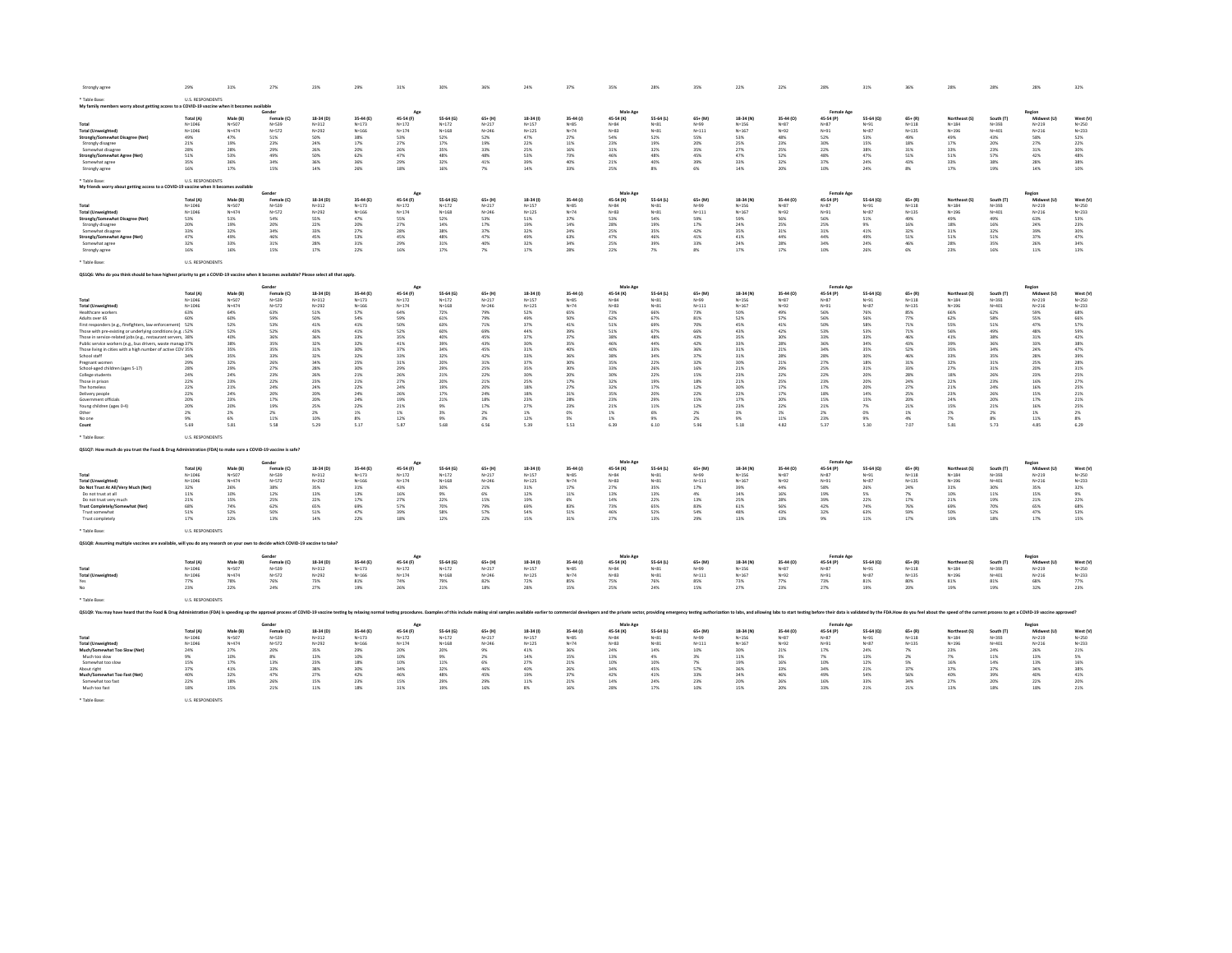| Strongly agree                                                                                                                                                                                                                 | 29%                     | 31%                   | 27%                     | 23%                    | 29%                    | 31%                    | 30%                    | 36%                    | 24%                    | 37%                 | 350                   | 28%                   | 35%                   | 22%                    | 22%                 | 28%                   | 31%                   |                        | 28%                        | 28%                    | 28%                      | 32%                   |
|--------------------------------------------------------------------------------------------------------------------------------------------------------------------------------------------------------------------------------|-------------------------|-----------------------|-------------------------|------------------------|------------------------|------------------------|------------------------|------------------------|------------------------|---------------------|-----------------------|-----------------------|-----------------------|------------------------|---------------------|-----------------------|-----------------------|------------------------|----------------------------|------------------------|--------------------------|-----------------------|
| Table Rase<br>My family members worry about getting access to a COVID-19 vaccine when it becomes available                                                                                                                     | <b>IIS RESPONDENTS</b>  |                       |                         |                        |                        |                        |                        |                        |                        |                     |                       |                       |                       |                        |                     |                       |                       |                        |                            |                        |                          |                       |
|                                                                                                                                                                                                                                |                         |                       | Gender                  |                        |                        | Age                    |                        |                        |                        |                     | Male Ap               |                       |                       |                        |                     | Female Age            |                       |                        |                            |                        | Region                   |                       |
|                                                                                                                                                                                                                                | Total (A)               | Male (R)              | Female (C)              | 18-34 (D)              | 35-44 (F)              | 45-54 (F)              | 55.64 (6)              | $65 + (H)$             | 18-34 (1)              | 35-44 (J)           | 45-54 (K)             | 55.64 (1)             | $65 + (84)$           | 18-34 (N)              | 35-44 (0)           | 45-54 (P)             | 55-64 (Q)             | $65 + (R)$             | Northeast (S)              | South IT               | Midwest (I)              | West (V)              |
|                                                                                                                                                                                                                                | $N = 1046$              | N=507                 | $N = 539$               | $N = 312$              | $N = 173$              | $N = 172$              | $N = 172$              | $N = 217$              | $N = 157$              | $N = 85$            | $N = 84$              | $N = 81$              | $N = 99$              | $N = 156$              | $N=87$              | $N = 87$              | $N = 91$              | $N = 118$              | $N = 1.84$                 | $N = 393$              | $N = 219$                | $N = 250$             |
| <b>Total (Unweighted)</b>                                                                                                                                                                                                      | $N = 1046$              | Na474                 | N=572                   | $N = 292$              | N=166                  | $N = 174$              | $N = 168$              | $N = 246$              | $N = 125$              | $N = 74$            | $N = 82$              | $N = 81$              | $N = 111$             | $N = 167$              | $N = 92$            | Ne <sub>2</sub>       | $N = 87$              | $N = 125$              | $N = 196$                  | $N = 401$              | $N = 216$                | $N = 222$             |
| Strongly/Somewhat Disagree (Net)                                                                                                                                                                                               | 49%                     | 47%                   | 51%                     | 50%                    | 38%                    | 53%                    | 52%                    | 52%                    | 47%                    | 27%                 | 54%                   | 52%                   | 55%                   | 53%                    | 48%                 | 52%                   | 53%                   | 49%                    | 49%                        | 43%                    | 58%                      | 52%                   |
| Strongly disagree                                                                                                                                                                                                              | 21%<br>28%              | 19%<br>28%            | 23%<br>29%              | 24%<br>26%             | 17%                    | 27%                    | 17%                    | 19%<br>33%             | 22%                    | 11%<br>16%          | 23%                   | 19%<br>32%            | 20%<br>35%            | 25%<br>27%             | 23%<br>25%          | 30%                   | 15%                   | 18%                    | 17%<br>33%                 | 20%                    | 27%                      | 22%                   |
| Somewhat disagree<br>Strongly/Somewhat Agree (Net)                                                                                                                                                                             | 51%                     | 53%                   | 49%                     | sms.                   | 20%<br>62%             | 26%<br>47%             | 35%<br>48%             | 48%                    | 25%<br>53%             | 73%                 | 31%<br>46%            | 48%                   | 45%                   | 47%                    | 52%                 | 22%<br>48%            | 38%<br>47%            | 31%<br>51%             | 51%                        | 23%<br>57%             | $31\%$<br>42%            | 30%<br>48%            |
| Somewhat agree                                                                                                                                                                                                                 | 35%                     | 36%                   | 34%                     | 36%                    | 36%                    | 29%                    | 32%                    | 41%                    | 39%                    | 40%                 | 21%                   | 40%                   | 39%                   | 33%                    | 32%                 | 37%                   | 24%                   | 43%                    | 33%                        | 38%                    | 28%                      | 38%                   |
| Strongly agree                                                                                                                                                                                                                 | 16%                     | 17%                   | 15%                     | 14%                    | 26%                    | 18%                    | 16%                    | 7%                     | 14%                    | 33%                 | 25%                   | 8%                    | 6%                    | 14%                    | 20%                 | 10%                   | 24%                   | $8\%$                  | 17%                        | 19%                    | 14%                      | 10%                   |
|                                                                                                                                                                                                                                |                         |                       |                         |                        |                        |                        |                        |                        |                        |                     |                       |                       |                       |                        |                     |                       |                       |                        |                            |                        |                          |                       |
| * Table Rase:<br>My friends worry about getting access to a COVID-19 vaccine when it becomes available                                                                                                                         | <b>U.S. RESPONDENTS</b> |                       |                         |                        |                        |                        |                        |                        |                        |                     |                       |                       |                       |                        |                     |                       |                       |                        |                            |                        |                          |                       |
|                                                                                                                                                                                                                                |                         |                       | Gende                   |                        |                        | Age                    |                        |                        |                        |                     | Male Age              |                       |                       |                        |                     | Female Age            |                       |                        |                            |                        | Region                   |                       |
|                                                                                                                                                                                                                                | <b>Total (A)</b>        | Male (B)              | Female (C)              | 18-34 (D)              | 35-44 (E)              | 45-54 (F)              | 55.64 (6)              | $65+ (H)$              | 18-34 (i)              | $35-44(1)$          | 45-54 (K)             | 55.64 (1)             | 65+ (M)               | 18-34 (N)              | 35-44 (0)           | 45-54 (P)             | 55-64 (Q)             | $65+ (R)$              | Northeast (S)              | South (T)              | Midwest (I)              | West (V)              |
| Total                                                                                                                                                                                                                          | $N = 1046$              | $N =$ 507             | $N = 539$               | $N = 312$              | $N = 173$              | $N = 172$              | $N = 172$              | $N = 217$              | $N = 157$              | $N=85$              | $N = 84$              | $N = 81$              | $N = 99$              | $N = 156$              | $N = 87$            | $N = 87$              | $N = 91$              | $N = 118$              | $N = 1.84$                 | $N = 393$              | $N = 219$                | $N = 250$             |
| <b>Total (Unweighted)</b>                                                                                                                                                                                                      | $N = 1046$              | $Na=474$              | $N = 572$               | $N = 292$              | $N = 166$              | $N = 174$              | $N = 168$              | $N = 246$              | $N = 125$              | $N = 74$            | $N=83$                | $N = 81$              | $N = 111$             | $N = 167$              | $N = 92$            | $N = 91$              | $N = 87$              | $N = 135$              | $N = 196$                  | $N = 401$              | $N = 216$                | $N = 233$             |
| Strongly/Somewhat Disagree (Net)                                                                                                                                                                                               | 53%                     | 51%                   | 54%                     | 55%                    | 47%                    | 55%                    | 52%                    | 53%                    | 51%                    | 37%                 | 53%                   | 54%                   | 59%                   | 59%                    | 56%                 | 56%                   | 51%                   | 49%                    | 49%                        | 49%                    | 63%                      | 53%                   |
| Strongly disagree                                                                                                                                                                                                              | 20%                     | 19%                   | 20%                     | 22%                    | 20%                    | 27%                    | 14%                    | 17%                    | 19%                    | 14%                 | 28%                   | 19%                   | 17%                   | 24%                    | 25%                 | 25%                   | 9%                    | 16%                    | 18%                        | 16%                    | 24%                      | 23%                   |
| Somewhat disagree                                                                                                                                                                                                              | 33%                     | 32%                   | 34%                     | 33%                    | 27%                    | 28%                    | 38%                    | 37%                    | 32%                    | 24%                 | 25%                   | 35%                   | 42%                   | 35%                    | 31%                 | 31%                   | 41%                   | 32%                    | 31%                        | 32%                    | 39%                      | 30%                   |
| Strongly/Somewhat Agree (Net                                                                                                                                                                                                   | 47%                     | 49%                   | 46%                     | 45%                    | 53%                    | 45%                    | 48%                    | 47%                    | 49%                    | 63%                 | 47%                   | 46%                   | 41%                   | 41%                    | 44%                 | 44%                   | 49%                   | 51%                    | 51%                        | 51%                    | 37%                      | 47%                   |
| Somewhat agree                                                                                                                                                                                                                 | 32%<br>16%              | 33%<br>16%            | 31%<br>15%              | 28%<br>17%             | 31%<br>22%             | 29%<br>16%             | 31%<br>17%             | 40%<br>7%              | 32%<br>17%             | 34%<br>28%          | 25%<br>22%            | 39%<br>7%             | 33%<br>8%             | 24%<br>17%             | 28%<br>17%          | 34%<br>10%            | 24%<br>26%            | 46%                    | 28%<br>23%                 | 35%<br>16%             | 26%                      | 34%<br>13%            |
| Strongly agree                                                                                                                                                                                                                 |                         |                       |                         |                        |                        |                        |                        |                        |                        |                     |                       |                       |                       |                        |                     |                       |                       | 6%                     |                            |                        | $11\%$                   |                       |
| <b>Table Base</b>                                                                                                                                                                                                              | <b>U.S. RESPONDENTS</b> |                       |                         |                        |                        |                        |                        |                        |                        |                     |                       |                       |                       |                        |                     |                       |                       |                        |                            |                        |                          |                       |
| Q\$1Q6: Who do you think should be have highest priority to get a COVID-19 vaccine when it becomes available? Please select all that apply.                                                                                    |                         |                       |                         |                        |                        |                        |                        |                        |                        |                     |                       |                       |                       |                        |                     |                       |                       |                        |                            |                        |                          |                       |
| Male Age<br>Gende<br>Age<br>Female Age<br>Region                                                                                                                                                                               |                         |                       |                         |                        |                        |                        |                        |                        |                        |                     |                       |                       |                       |                        |                     |                       |                       |                        |                            |                        |                          |                       |
|                                                                                                                                                                                                                                | Total (A)               | Male (B)              | Female (C)              | 18-34 (D)              | 35-44 (E)              | 45-54 (F)              | 55-64 (G)              | $65+$ (H)              | 18-34 (1)              | 35-44 (J)           | 45-54 (K)             | 55-64 (L)             | $65 + (M)$            | 18-34 (N)              | 35-44 (0)           | 45-54 (P)             | 55-64 (Q)             | $65+ (R)$              | Northeast (S               | South (T)              | Midwest (L               | West (V)              |
| Total                                                                                                                                                                                                                          | $N = 1046$              | N=507                 | N=539                   | $N = 312$              | $N = 173$              | $N = 172$              | $N = 172$              | $N = 217$              | $N = 157$              | $N=85$              | $N = 84$              | $N = 81$              | N=99                  | $N = 156$              | $N=87$              | N=87                  | $N = 91$              | $N = 118$              | $N = 184$                  | $N = 393$              | $N = 219$                | $N = 250$             |
| <b>Total (Unweighted)</b>                                                                                                                                                                                                      | $N = 1046$              | $N = 474$             | $N = 572$               | $N = 292$              | $N = 166$              | $N = 174$              | $N = 168$              | $N = 246$              | $N = 125$              | $N = 74$            | $N = 83$              | $N = 81$              | $N = 111$             | $N = 167$              | $N = 92$            | $N = 91$              | $N = 87$              | $N = 135$              | $N = 196$                  | $N = 401$              | $N = 216$                | $N = 233$             |
| Healthcare workers                                                                                                                                                                                                             | 63%                     | 64%                   | 63%                     | 51%                    | 57%                    | 64%                    | 72%                    | 79%                    | 52%                    | 65%                 | 73%                   | 66%                   | 73%                   | 50%                    | 49%                 | 56%                   | 76%                   | 85%                    | 66%                        | 62%                    | 59%                      | 68%                   |
| Adults over 65                                                                                                                                                                                                                 | 60%                     | 60%                   | 59%                     | 50%                    | 54%                    | 59%                    | 61%                    | 79%                    | 49%                    | 50%                 | 62%                   | 67%                   | 81%                   | 52%                    | 57%                 | 56%                   | 56%                   | 77%                    | 62%                        | 58%                    | 55%                      | 66%                   |
| First responders (e.g., firefighters, law enforcement)                                                                                                                                                                         | 52%                     | 52%                   | 53%                     | 41%                    | 41%                    | 50%                    | 63%                    | 71%                    | 37%                    | 41%                 | 51%                   | 69%                   | 70%                   | 45%                    | 41%                 | 50%                   | 58%                   | 71%                    | 55%                        | 51%                    | 47%                      | 57%                   |
| Those with pre-existing or underlying conditions (e.g. 152%)                                                                                                                                                                   |                         | 52%                   | 52%                     | 43%                    | 41%                    | 52%                    | 60%                    | 69%                    | 44%                    | 39%                 | 51%                   | 67%                   | 66%                   | 43%                    | 42%                 | 53%                   | 53%                   | $71\%$                 | 56%                        | 49%                    | 48%                      | 59%                   |
| Those in service-related jobs (e.g., restaurant servers, 38%                                                                                                                                                                   |                         | 40%                   | 36%                     | 36%                    | 33%                    | 35%                    | 40%                    | 45%                    | 37%                    | 37%                 | 38%                   | 48%                   | 43%                   | 35%                    | 30%                 | 33%                   | 33%                   | 46%                    | 41%                        | 38%                    | 31%                      | 42%                   |
| Public service workers (e.g., bus drivers, waste manage37%                                                                                                                                                                     |                         | 38%                   | 35%                     | 32%                    | 32%                    | 41%                    | 39%                    | 43%                    | 30%                    | 35%                 | 46%                   | 44%                   | 42%                   | 33%                    | 28%                 | 36%                   | 34%                   | 43%                    | 39%                        | 36%                    | 33%                      | 38%                   |
| Those living in cities with a high number of active COV 35%                                                                                                                                                                    |                         | 35%                   | 35%                     | 31%                    | 30%                    | 37%                    | 34%                    | 45%                    | 31%                    | 40%                 | 40%                   | 33%                   | 36%                   | 31%                    | 21%                 | 34%                   | 35%                   | 52%                    | 35%                        | 34%                    | 24%                      | 47%                   |
| School staff                                                                                                                                                                                                                   | 349                     | 35%                   | 33%                     | 32%                    | 32%                    | 33%                    | 32%                    | 42%                    | 33%                    | 36%                 | 38%                   | 34%                   | 37%                   | 31%                    | 28%                 | 28%                   | 30%                   | 46%                    | 33%                        | 35%                    | 28%                      | 39%                   |
| Pregnant women                                                                                                                                                                                                                 | 29%                     | 32%                   | 26%                     | 34%                    | 25%                    | 31%                    | 20%                    | 31%                    | 37%                    | 30%                 | 35%                   | 22%                   | 32%                   | 30%                    | 21%                 | 27%                   | 18%                   | 31%                    | 32%                        | 31%                    | 25%                      | 28%                   |
| School-aged children (ages 5-17)                                                                                                                                                                                               | 28%                     | 29%<br>24%            | 27%<br>23%              | 28%                    | 30%                    | 29%<br>26%             | 29%                    | 25%<br>22%             | 35%<br>30%             | 30%                 | 33%<br>30%            | 26%                   | 16%                   | 21%<br>23%             | 29%<br>22%          | 25%                   | 31%                   | 33%                    | 27%<br>18%                 | 31%<br>26%             | 20%                      | 31%                   |
| College students                                                                                                                                                                                                               | 24%                     |                       |                         | 26%                    | 21%                    |                        | 21%                    |                        |                        | 20%                 |                       | 22%                   | 15%                   |                        |                     | 22%                   | 20%                   | 28%                    |                            |                        | 23%                      | 25%                   |
| Those in prison<br>The homeless                                                                                                                                                                                                | 22%<br>22%              | 23%<br>21%            | 22%<br>24%              | 23%<br>24%             | 21%<br>22%             | 27%<br>24%             | 20%<br>19%             | 21%<br>20%             | 25%<br>18%             | $17\%$<br>27%       | 32%<br>32%            | 19%<br>17%            | 18%<br>12%            | 21%<br>30%             | 25%<br>17%          | 23%<br>17%            | 20%<br>20%            | 24%<br>27%             | 22%<br>21%                 | 23%<br>24%             | 16%<br>16%               | 27%<br>25%            |
| Delivery people                                                                                                                                                                                                                | 22%                     | 24%                   | 20%                     | 20%                    | 24%                    | 26%                    | 17%                    | 24%                    | 18%                    | $31\%$              | 35%                   | 20%                   | 22%                   | 22%                    | 17%                 | 18%                   | 14%                   | 25%                    | 23%                        | 26%                    | 15%                      | 21%                   |
| Government officials                                                                                                                                                                                                           | 20%                     | 23%                   | 17%                     | 20%                    | 24%                    | 19%                    | 21%                    | 18%                    | 23%                    | 28%                 | 23%                   | 29%                   | 15%                   | 17%                    | 20%                 | 15%                   | 15%                   | 20%                    | 24%                        | 20%                    | $17\%$                   | 21%                   |
| Young children (ages 0-4)                                                                                                                                                                                                      | 20%                     | 20%                   | 19%                     | 25%                    | 22%                    | 21%                    | 9%                     | 17%                    | 27%                    | 23%                 | 21%                   | 11%                   | 12%                   | 23%                    | 22%                 | 21%                   | 7%                    | 21%                    | 15%                        | 21%                    | 16%                      | 25%                   |
| Other                                                                                                                                                                                                                          | $2\%$                   | $2\%$                 | 2%                      | 2%                     | 1%                     | $1\%$                  | 3%                     | 2%                     | 1%                     | 0%                  | 1%                    | 6%                    | $2\%$                 | 3%                     | 1%                  | $2\%$                 | 0%                    | $1\%$                  | $2\%$                      | 2%                     | $1\%$                    | 2%                    |
| No on                                                                                                                                                                                                                          | 9%                      | 6%                    | 11%                     | 10%                    | 8%                     | 12%                    | 9%                     | 3%                     | 12%                    | $5\%$               | 1%                    | 9%                    | 2%                    | 9%                     | 11%                 | 23%                   | 9%                    | 4%                     | 7%                         | $8\%$                  | 11%                      | 8%                    |
| Count                                                                                                                                                                                                                          | 5.69                    | 5.81                  | 5.58                    | 5.29                   | 5.17                   | 5.87                   | 5.68                   | 6.56                   | 5.39                   | 5.53                | 6.39                  | 6.10                  | 5.96                  | 5.18                   | 4.82                | 5.37                  | 5.30                  | 7.07                   | 5.81                       | 5.73                   | 4.85                     | 6.29                  |
| ' Table Base                                                                                                                                                                                                                   | <b>U.S. RESPONDENTS</b> |                       |                         |                        |                        |                        |                        |                        |                        |                     |                       |                       |                       |                        |                     |                       |                       |                        |                            |                        |                          |                       |
|                                                                                                                                                                                                                                |                         |                       |                         |                        |                        |                        |                        |                        |                        |                     |                       |                       |                       |                        |                     |                       |                       |                        |                            |                        |                          |                       |
| QS1Q7: How much do you trust the Food & Drug Administration (FDA) to make sure a COVID-19 vaccine is safe?                                                                                                                     |                         |                       |                         |                        |                        |                        |                        |                        |                        |                     |                       |                       |                       |                        |                     |                       |                       |                        |                            |                        |                          |                       |
|                                                                                                                                                                                                                                |                         |                       | Gende                   |                        |                        | Age                    |                        |                        |                        |                     | Male Age              |                       |                       |                        |                     | <b>Female Age</b>     |                       |                        |                            |                        | Regior                   |                       |
|                                                                                                                                                                                                                                | Total (A)               | Male (B)              | Female (C)              | 18-34 (D)              | 35-44 (E)              | 45-54 (F)              | 55-64 (G)              | $65+$ (H)              | 18-34 (i)              | 35-44 (J)           | 45-54 (K)             | 55-64 (L)             | $65+$ (M)             | 18-34 (N               | 35-44 (0)           | 45-54 (P)             | 55-64 (0)             | $65 + (R)$             | <b>Northeast (S</b>        | South (T)              | Midwest (                | West (V)              |
| Total                                                                                                                                                                                                                          | $N = 1046$              | $N =$ 507             | N=539                   | $N = 312$              | $N = 173$              | $N = 172$              | $N = 172$              | $N = 217$              | $N = 157$              | $N=85$              | $N = 84$              | $N = 81$              | $N = 99$              | $N = 156$              | $N = 87$            | N=87                  | $N = 91$              | $N = 118$              | $N = 184$                  | $N = 393$              | $N = 219$                | $N = 250$             |
| <b>Total (Unweighted)</b>                                                                                                                                                                                                      | $N = 1046$<br>32%       | N=474<br>26%          | N=572<br>38%            | $N = 292$<br>35%       | $N = 166$              | $N = 174$              | $N = 168$<br>30%       | $N = 246$<br>21%       | $N = 125$<br>31%       | $N = 74$<br>17%     | $N = 83$              | $N = 81$<br>35%       | $N = 111$<br>17%      | $N = 167$<br>39%       | $N = 92$<br>44%     | $N = 91$<br>58%       | $N = 87$<br>26%       | $N = 135$<br>24%       | $N = 196$<br>31%           | $N = 401$              | $N = 216$                | $N = 233$             |
| Do Not Trust At All/Very Much (Net)                                                                                                                                                                                            |                         | 10%                   | 12%                     | 13%                    | 31%                    | 43%                    | 9%                     | 6%                     | 12%                    |                     | 27%                   |                       |                       |                        | 16%                 |                       | 5%                    |                        | 10%                        | 30%                    | 35%                      | 32%                   |
| Do not trust at all<br>Do not trust very much                                                                                                                                                                                  | $11\%$<br>21%           | 15%                   | 25%                     | 22%                    | 13%<br>17%             | 16%<br>27%             | 22%                    | 15%                    | 19%                    | $11\%$<br>$6\%$     | 13%<br>14%            | 13%<br>22%            | $4\%$<br>13%          | 14%<br>25%             | 28%                 | 19%<br>39%            | 22%                   | $7\%$<br>$17\%$        | 21%                        | $11\%$<br>19%          | 15%<br>21%               | 9%<br>22%             |
| <b>Trust Completely/Somewhat (Net)</b>                                                                                                                                                                                         | 68%                     | 74%                   | 62%                     | 65%                    | 69%                    | 57%                    | 70%                    | 79%                    | 69%                    | 83%                 | 73%                   | 65%                   | 83%                   | 61%                    | 56%                 | 42%                   | 74%                   | 76%                    | 69%                        | 70%                    | 65%                      | 68%                   |
| Trust somewhat                                                                                                                                                                                                                 | 51%                     | 52%                   | 50%                     | 51%                    | 47%                    | 39%                    | 58%                    | 57%                    | 54%                    | $51\%$              | 46%                   | 52%                   | 54%                   | 48%                    | 43%                 | 32%                   | 63%                   | 59%                    | 50%                        | 52%                    | 47%                      | 53%                   |
| Trust completely                                                                                                                                                                                                               | 17%                     | 22%                   | 13%                     | 14%                    | 22%                    | 18%                    | 12%                    | 22%                    | 15%                    | 31%                 | 27%                   | 13%                   | 29%                   | 13%                    | 13%                 | 9%                    | 11%                   | 17%                    | 19%                        | 18%                    | $17\%$                   | 15%                   |
| <b>Table Base</b>                                                                                                                                                                                                              | U.S. RESPONDENTS        |                       |                         |                        |                        |                        |                        |                        |                        |                     |                       |                       |                       |                        |                     |                       |                       |                        |                            |                        |                          |                       |
| QS1Q8: Assuming multiple vaccines are available, will you do any research on your own to decide which COVID-19 vaccine to take                                                                                                 |                         |                       |                         |                        |                        |                        |                        |                        |                        |                     |                       |                       |                       |                        |                     |                       |                       |                        |                            |                        |                          |                       |
|                                                                                                                                                                                                                                |                         |                       |                         |                        |                        |                        |                        |                        |                        |                     |                       |                       |                       |                        |                     |                       |                       |                        |                            |                        |                          |                       |
|                                                                                                                                                                                                                                |                         |                       | Gender                  |                        |                        | Age                    |                        |                        |                        |                     | Male Age              |                       |                       |                        |                     | <b>Female Age</b>     |                       |                        |                            |                        | Region                   |                       |
|                                                                                                                                                                                                                                | Total (A)<br>$N = 1046$ | Male (B)<br>$N =$ 507 | Female (C)<br>$N = 539$ | 18-34 (D)<br>$N = 312$ | 35-44 (E)<br>$N = 173$ | 45-54 (F)<br>$N = 172$ | 55-64 (G)<br>$N = 172$ | $65+ (H)$<br>$N = 217$ | 18-34 (I)<br>$N = 157$ | 35-44 (J)<br>$N=85$ | 45-54 (K)<br>$N = 84$ | 55-64 (L)<br>$N = 81$ | $65 + (M)$            | 18-34 (N)<br>$N = 156$ | 35-44 (0)<br>$N=87$ | 45-54 (P)<br>$N = 87$ | 55-64 (Q)<br>$N = 91$ | $65+ (R)$<br>$N = 118$ | Northeast (S)<br>$N = 184$ | South (T)<br>$N = 393$ | Midwest (U)<br>$N = 219$ | West (V)<br>$N = 250$ |
| Total<br><b>Total (Unweighted)</b>                                                                                                                                                                                             | $N = 1046$              | $N = 474$             | N=572                   | $N = 292$              | $N = 166$              | $N = 174$              | $N = 168$              | $N = 246$              | $N = 125$              | $N = 74$            | $N = 83$              | $N = 81$              | $N = 99$<br>$N = 111$ | $N = 167$              | $N = 92$            | N=91                  | $N = 87$              | $N = 135$              | $N = 196$                  | $N = 401$              | $N = 216$                | $N = 233$             |
| Yes                                                                                                                                                                                                                            | 77%                     | 78%                   | 76%                     | 73%                    | 81%                    | 74%                    | 79%                    | 82%                    | 72%                    | 85%                 | 75%                   | 76%                   | 85%                   | 73%                    | 77%                 | 73%                   | $81\%$                | 80%                    | 81%                        | 81%                    | 68%                      | 77%                   |
| No                                                                                                                                                                                                                             | 23%                     | 22%                   | 24%                     | 27%                    | 19%                    | 26%                    | 21%                    | 18%                    | 28%                    | 15%                 | 25%                   | 24%                   | 15%                   | 27%                    | 23%                 | 27%                   | 19%                   | 20%                    | 19%                        | 19%                    | 32%                      | 23%                   |
| Table Base                                                                                                                                                                                                                     | U.S. RESPONDENTS        |                       |                         |                        |                        |                        |                        |                        |                        |                     |                       |                       |                       |                        |                     |                       |                       |                        |                            |                        |                          |                       |
| OS109: You may have heard that the Food & Drux Administration (FDA) is speeding up the approval process of COVID-19 vaccine testing by relaxing normal testing by relaxing normal testing py relaxing noing salable earlier to |                         |                       |                         |                        |                        |                        |                        |                        |                        |                     |                       |                       |                       |                        |                     |                       |                       |                        |                            |                        |                          |                       |
|                                                                                                                                                                                                                                |                         |                       | Gende                   |                        |                        | Age                    |                        |                        |                        |                     | Male Age              |                       |                       |                        |                     | <b>Female Age</b>     |                       |                        |                            |                        | Regior                   |                       |
|                                                                                                                                                                                                                                | Total (A)               | Male (B)              | Female (C)              | 18-34 (D)              | 35-44 (E)              | 45-54 (F)              | 55-64 (G)              | $65 + (H)$             | 18-34 (i)              | $35-44(1)$          | 45-54 (K)             | 55-64 (L)             | $65 + (M)$            | 18-34 (N)              | 35-44 (0)           | 45-54 (P)             | 55-64 (Q)             | $65 + (R)$             | Northeast (S)              | South (T)              | Midwest (U)              | West (V)              |
| Total                                                                                                                                                                                                                          | $N = 1046$              | $N =$ 507             | $N = 539$               | $N = 312$              | $N = 173$              | $N = 172$              | $N = 172$              | $N = 217$              | $N = 157$              | $N=85$              | $N = 84$              | $N = 81$              | $N = 99$              | $N = 156$              | $N=87$              | $N = 87$              | $N = 91$              | $N = 118$              | $N = 184$                  | $N = 393$              | $N = 219$                | $N = 250$             |
| <b>Total (Unweighted)</b>                                                                                                                                                                                                      | $N = 1046$              | N=474                 | $N = 572$               | $N = 292$              | $N = 166$              | $N = 174$              | $N = 168$              | $N = 246$              | $N = 125$              | $N = 74$            | $N = 83$              | $N = 81$              | $N = 111$             | $N = 167$              | $N = 92$            | $N = 91$              | $N = 87$              | $N = 135$              | $N = 196$                  | $N = 401$              | $N = 216$                | $N = 233$             |
| Much/Somewhat Too Slow (Net)                                                                                                                                                                                                   | 24%                     | 27%                   | 20%                     | 35%                    | 29%                    | 20%                    | 20%                    | 9%                     | 41%                    | 36%                 | 24%                   | 14%                   | 10%                   | 30%                    | 21%                 | 17%                   | 24%                   | 7%                     | 23%                        | 24%                    | 26%                      | 21%                   |
| Much too slow                                                                                                                                                                                                                  | 9%                      | 10%                   | 8%                      | 13%                    | 10%                    | 10%                    | 9%                     | 2%                     | 14%                    | 15%                 | 13%                   | 4%                    | 3%                    | 11%                    | 5%                  | 7%                    | 13%                   | 2%                     | 7%                         | 11%                    | 13%                      | 5%                    |
| Somewhat too slow                                                                                                                                                                                                              | 15%                     | 17%                   | 13%                     | 23%                    | 18%                    | 10%                    | 11%                    | 6%                     | 27%                    | 21%                 | 10%                   | 10%                   | 7%                    | 19%                    | 16%                 | 10%                   | 12%                   | 5%                     | 16%                        | 14%                    | 13%                      | 16%                   |
| About right                                                                                                                                                                                                                    | 37%                     | 41%                   | 33%                     | 38%                    | 30%                    | 34%                    | 32%                    | 46%                    | 40%                    | 26%                 | 34%                   | 45%                   | 57%                   | 36%                    | 33%                 | 34%                   | 21%                   | 37%                    | 37%                        | 37%                    | 34%                      | 38%                   |
| Much/Somewhat Too Fast (Net)                                                                                                                                                                                                   | 40%                     | 32%                   | 47%                     | 27%                    | 42%                    | 46%                    | 48%                    | 45%                    | 19%                    | 37%                 | 42%                   | 41%                   | 33%                   | 34%                    | 46%                 | 49%                   | 54%                   | 56%                    | 40%                        | 39%                    | 40%                      | 41%                   |
| Somewhat too fast                                                                                                                                                                                                              | 22%                     | 18%                   | 26%                     | 15%                    | 23%                    | 15%                    | 29%                    | 29%                    | 11%                    | 21%                 | 14%                   | 24%                   | 23%                   | 20%                    | 26%                 | 16%                   | 33%                   | 34%                    | 27%                        | 20%                    | 22%                      | 20%                   |
| Much too fast                                                                                                                                                                                                                  | 18%                     | 15%                   | 21%                     | 11%                    | 18%                    | 31%                    | 19%                    | 16%                    | 8%                     | 16%                 | 28%                   | 17%                   | 10%                   | 15%                    | 20%                 | 33%                   | 21%                   | 21%                    | 13%                        | 18%                    | 18%                      | 21%                   |
| * Table Base                                                                                                                                                                                                                   | U.S. RESPONDENTS        |                       |                         |                        |                        |                        |                        |                        |                        |                     |                       |                       |                       |                        |                     |                       |                       |                        |                            |                        |                          |                       |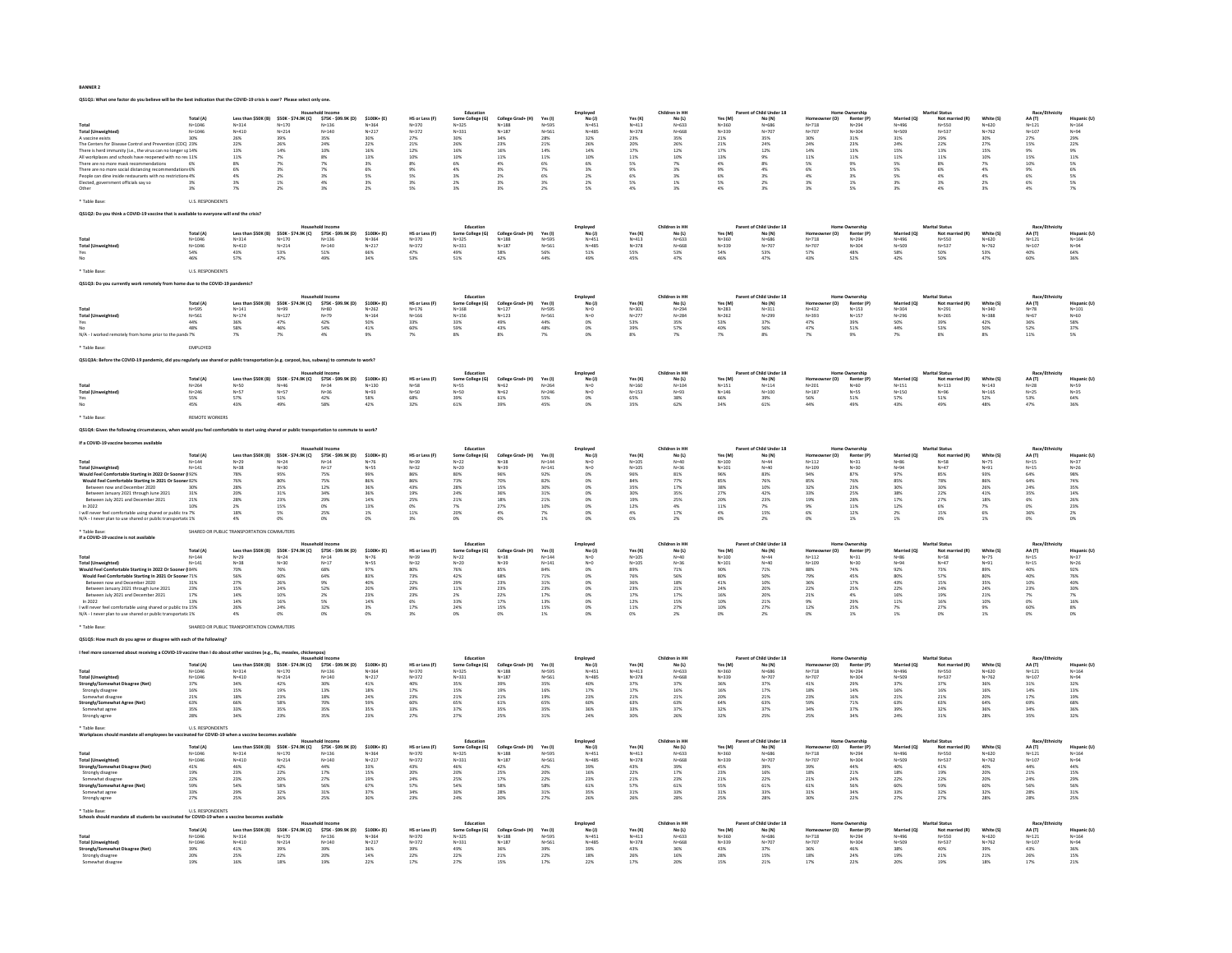|                                                                                                                                                                                                          |                                               |                                                    |                                         |                                                                                              |                        |                        | Educatio                      |                                                                             |                           | Employer                                    |                        | Children in HK                             |                        | arent of Child Under 18  |                            |                        |                        | Marital Status            |                        |                           |                          |
|----------------------------------------------------------------------------------------------------------------------------------------------------------------------------------------------------------|-----------------------------------------------|----------------------------------------------------|-----------------------------------------|----------------------------------------------------------------------------------------------|------------------------|------------------------|-------------------------------|-----------------------------------------------------------------------------|---------------------------|---------------------------------------------|------------------------|--------------------------------------------|------------------------|--------------------------|----------------------------|------------------------|------------------------|---------------------------|------------------------|---------------------------|--------------------------|
|                                                                                                                                                                                                          | Total (A)                                     |                                                    |                                         | Less than \$50K (B) \$50K - \$74.9K (C) \$75K - \$99.9K (D)                                  | \$100K+ (E)            | HS or Less (F)         | Some College (G)              | College Grad+ (H)                                                           | Yes (I)                   | No(1)                                       | Yes (K)                | No (L)                                     | Yes (M)                | No (N)                   | er (O)                     | Renter (P)             | Married (Q)            | Not married (R)           | White (S)              | AA (T)                    | Hispanic (U)             |
| <b>Total (Unweighted)</b>                                                                                                                                                                                | $N = 1046$<br>$N = 1046$                      | $N = 314$<br>$N = 410$                             | $N = 170$<br>$N = 214$                  | $N = 136$<br>$N = 140$                                                                       | $N = 364$<br>$N = 217$ | $N = 370$<br>$N = 372$ | $N=325$<br>$N = 331$          | $v = 188$<br>$N = 187$                                                      | $N = 595$<br>$N = 561$    | $N = 451$<br>$N = 485$                      | $N = 413$<br>$N = 378$ | $N = 633$<br>$N = 668$                     | N=360<br>$N = 339$     | $N = 686$<br>$N = 707$   | $N = 718$<br>$N = 707$     | $N = 294$<br>$N = 304$ | N=496<br>$N = 509$     | $N =$ 550<br>$N = 537$    | $N = 620$<br>$N = 762$ | $N = 121$<br>$N = 107$    | $N = 164$<br>$N = 94$    |
| A vaccine exists                                                                                                                                                                                         |                                               |                                                    | 39%                                     |                                                                                              |                        | 27%                    |                               | 34%                                                                         |                           | 32%                                         | 23%                    | 35%                                        | 21%                    |                          |                            | 31%                    | 31%                    |                           |                        |                           |                          |
|                                                                                                                                                                                                          |                                               | 26%<br>22%                                         | 26%                                     | 35%<br>24%                                                                                   | 22%                    | 21%                    | 26%                           | 23%                                                                         | $\substack{28\% \\ 21\%}$ | 26%                                         | 20%                    | 26%                                        | 21%                    | 24%                      | 24%                        | 23%                    | 24%                    | $\substack{29\% \\ 22\%}$ | 30%<br>27%             | $\substack{27\% \\ 15\%}$ | 22%                      |
| The Centers for Disease Control and Prevention (CDC) 23%<br>There is herd immunity (i.e., the virus can no longer sp 14%                                                                                 |                                               | 13%                                                | 14%                                     | $10\%$                                                                                       | 16%                    | $12\%$                 | 16%                           | $16\%$                                                                      | 14%                       | 14%                                         | 17%                    | $12\%$                                     | $17\%$                 | 12%                      | 14%                        | 13%                    | 15%                    | $13\%$                    | 15%                    | 9%                        | 9%                       |
| All workplaces and schools have reopened with no res 11%                                                                                                                                                 |                                               | 11%                                                | 7%                                      | 8%                                                                                           | 13%                    | 10%                    | 10%                           | 11%                                                                         | 11%                       | 10%                                         | 11%                    | 10%                                        | 13%                    | 9%                       | 11%                        | 11%                    | 11%                    | 11%                       | 10%                    | 15%                       | 11%                      |
| There are no more mask recommendations<br>There are no more mask recommendations<br>There are no more social distancing recommendations 6%<br>People can dine inside restaurants with no restrictions 4% |                                               | 8%                                                 | 7%                                      | 7%                                                                                           | 3%                     | $8\%$                  | $6\%$                         | 4%                                                                          | 6%                        | 6%                                          | 5%                     | $7\%$                                      | $4\%$                  | 8%                       | 5%                         | 9%                     | 5%                     | 8%                        | $\overline{\sim}$      | 10%                       | 5%<br>6%                 |
|                                                                                                                                                                                                          |                                               | 6%<br><b>ANC</b>                                   | 3%<br>$2\%$                             | 7%<br>3%                                                                                     | 6%<br>5%               | 9%<br>5%               | 4%<br>$3\%$                   | 3%<br>2%                                                                    | 7%<br>6%                  | 3%<br>2%                                    | 9%<br>6%               | 3%<br>3%                                   | 9%<br>6%               | 4%<br>3%                 | 6%<br>4%                   | 5%<br>3%               | 5%<br>S%               | 6%<br>4%                  | 4%<br>4%               | 9%<br>6%                  |                          |
| Elected, government officials say so                                                                                                                                                                     |                                               | 3%                                                 | 1%                                      | 4%                                                                                           | 3%                     | 3%                     | 2%                            | 3%                                                                          | $3\%$                     | 2%                                          | 5%                     | 1%                                         | 5%                     | 2%                       | $3\%$                      | 1%                     | $3\%$                  | 3%                        | 2%                     | 6%                        | 5%<br>5%                 |
|                                                                                                                                                                                                          |                                               | 7%                                                 | 2%                                      |                                                                                              | 2%                     | ss.                    | 3%                            | 3%                                                                          | 2 <sup>5</sup>            | 5%                                          | 4%                     |                                            | 4%                     | 3%                       | 3%                         |                        |                        |                           |                        |                           |                          |
|                                                                                                                                                                                                          |                                               |                                                    |                                         |                                                                                              |                        |                        |                               |                                                                             |                           |                                             |                        |                                            |                        |                          |                            |                        |                        |                           |                        |                           |                          |
| * Table Base:                                                                                                                                                                                            | <b>LLS RESPONDENTS</b>                        |                                                    |                                         |                                                                                              |                        |                        |                               |                                                                             |                           |                                             |                        |                                            |                        |                          |                            |                        |                        |                           |                        |                           |                          |
| QS1Q2: Do you think a COVID-19 vaccine that is available to                                                                                                                                              |                                               | e will end the crisis?                             |                                         |                                                                                              |                        |                        |                               |                                                                             |                           |                                             |                        |                                            |                        |                          |                            |                        |                        |                           |                        |                           |                          |
|                                                                                                                                                                                                          |                                               |                                                    |                                         |                                                                                              |                        |                        |                               |                                                                             |                           |                                             |                        |                                            |                        |                          |                            |                        |                        |                           |                        |                           |                          |
|                                                                                                                                                                                                          |                                               |                                                    |                                         |                                                                                              |                        |                        | Education                     |                                                                             |                           | Employed<br>No (J)                          |                        | Children in HH                             |                        | Parent of Child Under 18 |                            |                        |                        | Marital Status            |                        | Race/Fthni                |                          |
|                                                                                                                                                                                                          | Total (A)                                     |                                                    | Less than \$50K (B) \$50K - \$74.9K (C) | \$75K - \$99.9K (D)                                                                          | \$100K+ (E)            | HS or Less (F)         | Some College (G)              | College Grad+ (H)                                                           | Yes (I)                   |                                             | Yes (K)                | No(L)                                      | Yes (M)                | No (N)                   | r (O)                      | Renter (P)             | Married (Q)            | Not married (R)           | White (S)              | AA (T)                    | Hispanic (U)             |
| Total<br>Total (Unweighted                                                                                                                                                                               | $N=1046$<br>$N=1046$                          | $N=314$<br>$N=410$                                 | $N = 170$                               | $N = 136$                                                                                    | $N = 364$              | $N = 370$              | $N = 325$                     | $N = 188$                                                                   | $N = 595$                 | $N = 451$                                   | $N = 413$              | $N = 633$                                  | $N = 360$<br>$N = 339$ | $N = 686$<br>$N = 707$   | $N = 718$                  | $N = 294$<br>$N = 304$ | $N = 496$<br>$N = 509$ | $N = 550$                 | $N=620$<br>$N=762$     | $N=121$<br>$N=107$        | $N = 164$                |
|                                                                                                                                                                                                          |                                               |                                                    | $N = 214$                               | $N = 140$                                                                                    | $N = 217$              | $N = 372$              | $N = 331$                     | $N = 187$                                                                   | $N = 561$                 | $N = 485$                                   | $N = 378$              | $N = 668$                                  |                        |                          | $N = 707$                  |                        |                        | $N = 537$                 |                        |                           | $N = 94$<br>64%          |
|                                                                                                                                                                                                          | 54%<br>46%                                    | 43%<br>57%                                         | 53%<br>47%                              | 51%<br>49%                                                                                   | 66%<br>34%             | 47%<br>53%             | 49%<br>51%                    | 58%<br>42%                                                                  | 56%                       | 51%<br>49%                                  | 55%<br>45%             | 53%<br>47%                                 | 54%<br>46%             | 53%<br>47%               | 57%                        | 48%<br>52%             | 58%<br>42%             | 50%<br>sox                | 53%<br>47%             | 40%<br>60%                |                          |
|                                                                                                                                                                                                          |                                               |                                                    |                                         |                                                                                              |                        |                        |                               |                                                                             |                           |                                             |                        |                                            |                        |                          |                            |                        |                        |                           |                        |                           |                          |
| * Table Base:                                                                                                                                                                                            | U.S. RESPONDENTS                              |                                                    |                                         |                                                                                              |                        |                        |                               |                                                                             |                           |                                             |                        |                                            |                        |                          |                            |                        |                        |                           |                        |                           |                          |
|                                                                                                                                                                                                          |                                               |                                                    |                                         |                                                                                              |                        |                        |                               |                                                                             |                           |                                             |                        |                                            |                        |                          |                            |                        |                        |                           |                        |                           |                          |
| QS1Q3: Do you currently work remotely from home due to the COVID-19 pandemic                                                                                                                             |                                               |                                                    |                                         |                                                                                              |                        |                        |                               |                                                                             |                           |                                             |                        |                                            |                        |                          |                            |                        |                        |                           |                        |                           |                          |
|                                                                                                                                                                                                          |                                               |                                                    |                                         |                                                                                              |                        |                        |                               |                                                                             |                           |                                             |                        |                                            |                        |                          |                            |                        |                        |                           |                        |                           |                          |
|                                                                                                                                                                                                          |                                               |                                                    |                                         |                                                                                              |                        |                        | Educatio                      |                                                                             |                           | Employed<br>No (J)                          |                        | Children in HI                             |                        | Parent of Child Under 18 |                            |                        |                        | <b>Marital Status</b>     |                        | Race/Eth                  |                          |
|                                                                                                                                                                                                          | Total (A)                                     |                                                    | Less than \$50K (B) \$50K - \$74.9K (C) | \$75K-\$99.9K (D) \$100K+ (E)                                                                | $N = 262$              | HS or Less (F)         | Some College (G)              | College Grad+ (H)                                                           | Yes (I)                   | $N=0$                                       | Yes (K)                | No(L)                                      | Yes (M)                | No (N)                   | Homeowner (O)<br>$N = 432$ | Renter (P)             | Married (Q)            | Not married (R)           | White (S)              | AA(T)                     | Hispanic (U)             |
| <b>Total (Unweighted)</b>                                                                                                                                                                                | $N = 595$<br>N=561                            | $\mathsf{N}{=}141$<br>$N = 174$                    | $N = 99$<br>$N = 127$                   | N=80<br>N=79                                                                                 | $N = 164$              | $N = 176$<br>$N = 166$ | $\texttt{N=168}$<br>$N = 156$ | $N = 127$<br>$N = 123$                                                      | $N = 595$<br>$N = 561$    | $N = 0$                                     | $N = 301$<br>$N = 277$ | $N = 294$<br>$N = 284$                     | $N = 283$<br>$N = 262$ | $N = 311$<br>$N = 299$   | $N = 393$                  | $N = 153$<br>$N = 157$ | N=304<br>$N = 296$     | $N=291$<br>$N = 265$      | $N = 340$<br>$N = 388$ | $N=78$<br>$N = 67$        | $N = 101$<br>$N = 60$    |
|                                                                                                                                                                                                          | 44%                                           | 36%                                                | $47\%$                                  | $42\%$                                                                                       | 50%                    | $33\%$                 | $33\%$                        |                                                                             | 44%                       | 0%                                          | 53%                    | $35\%$                                     | 53%                    | $37\%$                   | $47\%$                     |                        | 50%                    | $39\%$                    | 42%                    | 36%                       | $58\%$                   |
|                                                                                                                                                                                                          | 48%                                           | 58%                                                | 46%                                     | 54%                                                                                          | 41%                    | 60%                    | 59%                           | 49%<br>43%                                                                  | 48%                       | 0%                                          | 39%                    | 57%                                        | 40%                    | 56%                      | 47%                        | 39%<br>51%             | 44%                    | 53%                       | 50%                    | 52%                       | 37%                      |
|                                                                                                                                                                                                          |                                               | 7%                                                 |                                         | 4%                                                                                           | $9\%$                  | 7%                     |                               |                                                                             |                           |                                             |                        |                                            |                        | 8%                       |                            |                        |                        |                           | 8%                     | 11%                       | 5%                       |
|                                                                                                                                                                                                          |                                               |                                                    |                                         |                                                                                              |                        |                        |                               |                                                                             |                           |                                             |                        |                                            |                        |                          |                            |                        |                        |                           |                        |                           |                          |
|                                                                                                                                                                                                          | EMPLOYED                                      |                                                    |                                         |                                                                                              |                        |                        |                               |                                                                             |                           |                                             |                        |                                            |                        |                          |                            |                        |                        |                           |                        |                           |                          |
| OS1034: Before the COVID-19 pandemic, did you regularly use sh                                                                                                                                           |                                               |                                                    |                                         |                                                                                              |                        |                        |                               |                                                                             |                           |                                             |                        |                                            |                        |                          |                            |                        |                        |                           |                        |                           |                          |
|                                                                                                                                                                                                          |                                               |                                                    |                                         | ared or public transportation (e.g. carpool, bus, subway) to commute to work?                |                        |                        |                               |                                                                             |                           |                                             |                        |                                            |                        |                          |                            |                        |                        |                           |                        |                           |                          |
|                                                                                                                                                                                                          |                                               |                                                    |                                         |                                                                                              |                        |                        | Education                     |                                                                             |                           |                                             |                        | Children in HH                             |                        | Parent of Child Under 18 |                            |                        |                        | Marital Status            |                        | Race/Fthe                 |                          |
|                                                                                                                                                                                                          | Total (A)                                     |                                                    |                                         | Less than \$50K (B) \$50K - \$74.9K (C) \$75K - \$99.9K (D)                                  | \$100K+ (E)            | HS or Less (F)         | Some College (G)              | College Grad+ (H)                                                           | <b>Yes</b> (I)            | Employed<br>No (J)                          | Yes (K)                | No (L)                                     | Yes (M)                | No (N)                   | r (O)                      | Renter (P)             | Married (Q)            | Not married (R)           | White (S)              | AA(T)                     | Hispanic (U)             |
|                                                                                                                                                                                                          | $N = 264$                                     |                                                    | $N = 46$                                |                                                                                              | $N = 130$              |                        | $N = 55$                      |                                                                             | $N = 264$                 |                                             | $N = 160$              | $N = 104$                                  |                        |                          | $N = 201$                  |                        | $N = 151$              |                           | $N = 143$              |                           | $N = 59$                 |
| <b>Total (Unweighted</b>                                                                                                                                                                                 | $N = 246$                                     | N=50<br>N=57                                       | $N = 57$                                | N=34<br>N=36                                                                                 | $N = 93$               | N=58<br>N=50           | $N = 50$                      | $N = 62$<br>$N = 62$                                                        | $N = 246$                 | $N=0$<br>$N=0$                              | $N = 153$              | $N = 93$                                   | $N=151$<br>$N=146$     | $N=114$<br>$N=100$       | $N = 187$                  | N=60<br>N=55           | $N = 150$              | $N=113$<br>$N=96$         | $N = 165$              | $N = 28$<br>$N = 25$      | $N = 35$                 |
|                                                                                                                                                                                                          | 55%<br>45%                                    | 57%<br>43%                                         | $\frac{51\%}{49\%}$                     | 42%<br>58%                                                                                   | 58%<br>42%             | 68%<br>32%             | 39%<br>61%                    | 61%<br>39%                                                                  | 55%                       | 0%                                          | 65%                    | 38%<br>62%                                 | 66%<br>34%             | 39%<br>61%               | 56%                        | 51%<br>49%             | 57%<br>43%             | $\frac{51\%}{49\%}$       | $\frac{52\%}{48\%}$    | $\frac{53\%}{47\%}$       | 64%<br>36%               |
|                                                                                                                                                                                                          |                                               |                                                    |                                         |                                                                                              |                        |                        |                               |                                                                             | 45%                       |                                             | 35%                    |                                            |                        |                          |                            |                        |                        |                           |                        |                           |                          |
| * Table Base                                                                                                                                                                                             | <b>REMOTE WORKERS</b>                         |                                                    |                                         |                                                                                              |                        |                        |                               |                                                                             |                           |                                             |                        |                                            |                        |                          |                            |                        |                        |                           |                        |                           |                          |
|                                                                                                                                                                                                          |                                               |                                                    |                                         |                                                                                              |                        |                        |                               |                                                                             |                           |                                             |                        |                                            |                        |                          |                            |                        |                        |                           |                        |                           |                          |
|                                                                                                                                                                                                          |                                               |                                                    |                                         | ould you feel comfortable to start using shared or public transportation to commute to work? |                        |                        |                               |                                                                             |                           |                                             |                        |                                            |                        |                          |                            |                        |                        |                           |                        |                           |                          |
|                                                                                                                                                                                                          |                                               |                                                    |                                         |                                                                                              |                        |                        |                               |                                                                             |                           |                                             |                        |                                            |                        |                          |                            |                        |                        |                           |                        |                           |                          |
| If a COVID-19 vaccine becomes ava                                                                                                                                                                        |                                               |                                                    |                                         |                                                                                              |                        |                        |                               |                                                                             |                           |                                             |                        |                                            |                        |                          |                            |                        |                        |                           |                        |                           |                          |
|                                                                                                                                                                                                          |                                               |                                                    |                                         |                                                                                              |                        |                        | Education                     |                                                                             |                           | Employer                                    |                        | Children in HH                             |                        | Parent of Child Under 18 |                            | nme Ownership          |                        | Marital Status            |                        | Race/Fthe                 |                          |
|                                                                                                                                                                                                          | Total (A)                                     | Less than \$50K (B)                                | \$50K - \$74.9K (C)                     | \$75K - \$99.9K (D)                                                                          | \$100K+ (E)            | HS or Less (F)         | Some College (G)<br>$N=22$    | College Grad+ (H)<br>N=38                                                   | Yes (I)                   | No(1)                                       | Yes (K)                | No (L)                                     | Yes (M)                | No (N)                   | r (O)                      | Renter (P)             | Married (Q)            | Not ma                    | White (S)              | AA (T)                    | lispanic (U)             |
|                                                                                                                                                                                                          | $N = 144$                                     | $N = 29$                                           | $N=24$                                  | $N=14$                                                                                       | $N=76$                 | $N = 39$               |                               |                                                                             | $N = 144$                 | $N=0$                                       | $N = 105$              | $N = 40$                                   | $N = 100$              | $N = 44$                 | $N = 112$                  | $N = 31$               | $N = 86$               | $N = 58$                  | $N = 75$               | $N=15$                    | $N=37$                   |
| ۱۰-۰۰<br>Total (Unweighted)<br>Would Feel Comfortable Starting in 2022 Or Sooner (192%                                                                                                                   | $N = 141$                                     | $N = 38$                                           | $N=30$                                  | $N=17$                                                                                       | $N = 55$               | $N=32$                 | $N=20$                        | $N = 39$                                                                    | $N = 141$                 | $N=0$                                       | $N = 105$              | $N = 36$                                   | $N=101$                | $N = 40$                 | $N = 105$                  | $N=30$                 | $N = 94$               | $N = 47$                  | $N = 91$               | $N=15$                    | $N=26$                   |
| Would Feel Comfortable Starting In 2021 Or Sooner 82%                                                                                                                                                    |                                               | 78%<br>76%                                         | 95%<br>80%                              | 75%<br>75%                                                                                   | 99%                    | 86%                    | 80%<br>73%                    | 96%                                                                         | 92%<br>82%                | 0%                                          | 96%<br>84%             | 81%                                        | 96%<br>85%             | 83%                      | 94%<br>85%                 | 87%<br><b>76%</b>      | 97%<br>85%             | 85%<br>78%                | 93%<br>86%             | 64%                       | 98%<br>74%               |
| Between now and December 2020                                                                                                                                                                            | 30%                                           | 28%                                                | 25%                                     | 12%                                                                                          | 36%                    | 43%                    | 28%                           | 70%<br>15%                                                                  | 30%                       | 0%                                          | 35%                    | 77%<br>17%                                 | 38%                    | 10%                      | 32%                        | 23%                    | 30%                    | 30%                       | 26%                    | 64%<br>24%                | 35%                      |
| Between January 2021 through June 2021                                                                                                                                                                   | 31%                                           | 20%                                                | $31\%$                                  | $34\%$                                                                                       | 36%                    | 19%                    | 24%                           | 36%                                                                         | 31%                       | ox                                          | 30%                    | $35\%$                                     | 27%                    | 42%                      | 33%                        | 25%                    | 38%                    | $22\%$                    | 41%                    | 35%                       | 14%                      |
| Between July 2021 and December 2021                                                                                                                                                                      | 21%                                           | 28%                                                | 23%                                     | 29%                                                                                          | 14%                    | 25%                    | 21%                           | 18%                                                                         | 21%                       | 0%                                          | 19%                    | 25%                                        | 20%                    | 23%                      | 19%                        | 28%                    | 17%                    | 27%                       | 18%                    | 6%                        | 26%                      |
| In 2022                                                                                                                                                                                                  |                                               | $\begin{array}{l} 2\% \\ 18\% \end{array}$         | 15%                                     |                                                                                              | 13%                    | $0\%$ 11%              | $\frac{7\%}{20\%}$            | 27%                                                                         |                           |                                             | 12%                    | $\begin{array}{l} 4\% \\ 17\% \end{array}$ | 11%                    | $\frac{7\%}{15\%}$       | 9%<br>6%                   | $\frac{11\%}{12\%}$    | 12%                    | $\frac{6\%}{15\%}$        | 7%<br>6%               | 0%<br>36%                 | 23%                      |
| I will never feel comfortable using shared or public tra 7%                                                                                                                                              |                                               |                                                    | 5%                                      | 25%                                                                                          | $1\%$                  |                        |                               | 4%                                                                          | 7%                        | 0%                                          | 4%                     |                                            | 4%                     |                          |                            |                        | 2%                     |                           |                        |                           | $2\%$                    |
| N/A - I never plan to use shared or public transportatic 1%                                                                                                                                              |                                               | 4%                                                 | 0%                                      | ns.                                                                                          | O%                     | 3%                     | $0\%$                         | 0%                                                                          | 1%                        | O%                                          | ox                     | 2%                                         | o%                     | 2%                       | <b>OM</b>                  | 1%                     | 1%                     | 0%                        | 1%                     | 0%                        | 0%                       |
| * Table Rase                                                                                                                                                                                             |                                               | SHARED OR PUBLIC TRANSPORTATION COMMUTERS          |                                         |                                                                                              |                        |                        |                               |                                                                             |                           |                                             |                        |                                            |                        |                          |                            |                        |                        |                           |                        |                           |                          |
| If a COVID-19 vaccine is not available                                                                                                                                                                   |                                               |                                                    |                                         |                                                                                              |                        |                        |                               |                                                                             |                           |                                             |                        |                                            |                        |                          |                            |                        |                        |                           |                        |                           |                          |
|                                                                                                                                                                                                          |                                               |                                                    |                                         |                                                                                              |                        |                        | Education                     |                                                                             |                           | Employed                                    |                        | Children in HH                             |                        | Parent of Child Under 18 |                            |                        |                        | <b>Marital Status</b>     |                        | Race/Fthn                 |                          |
|                                                                                                                                                                                                          | Total (A)                                     |                                                    | Less than \$50K (B) \$50K - \$74.9K (C) | \$75K - \$99.9K (D)                                                                          | \$100K+ (E)            | HS or Less (F)         | Some College (G)              | College Grad+ (H)                                                           | Yes (I)                   | No (J)                                      | Yes (K)                | No(L)                                      | Yes (M)                | No (N)                   | r (O)                      | Renter (P)             | Married (Q)            | Not mar                   | White (S)              | AA (T)                    | Hispanic (U)             |
| 10tal N=14<br>14:14 N=14:<br>Would Feel Comfortable Starting in 2022 Or Sooner (184%                                                                                                                     | $N = 144$                                     |                                                    | $N = 24$<br>$N = 30$                    | N=14<br>N=17                                                                                 |                        |                        | $N=22$                        | $N = 38$                                                                    | $N = 144$                 |                                             | $N = 105$<br>$N = 105$ | $N = 40$                                   |                        | $N = 44$                 | $N = 112$                  | $N = 31$<br>$N = 30$   |                        | N=58<br>N=47              | $N=75$                 |                           | $N=37$                   |
|                                                                                                                                                                                                          | $N = 141$                                     | N=29<br>N=38                                       |                                         |                                                                                              | $N = 55$               | $N = 32$               | $N=20$                        | $N = 39$                                                                    | $N = 141$                 | $N=0$<br>$N=0$                              |                        | $N=36$                                     | N=100<br>N=101         | $N = 40$                 | $N = 105$                  |                        | N=86<br>N=94           |                           | $N = 91$               | $N = 15$<br>$N = 15$      | $N = 26$                 |
|                                                                                                                                                                                                          |                                               | 70%                                                | 76%                                     | 68%                                                                                          | 97%                    | 80%                    | 76%                           | 85%                                                                         | 84%                       | 0%                                          | 89%                    | 71%                                        | 90%                    | 71%                      | 88%                        | 74%                    | 92%                    | 73%                       | 89%                    | 40%                       | 92%                      |
| Would Feel Comfortable Starting In 2021 Or Sooner 71%                                                                                                                                                    |                                               | 56%                                                | 60%                                     | $64\%$                                                                                       | 83%                    | 73%                    | $42\%$                        | 68%                                                                         | 71%                       | 0%                                          | 76%                    | $56\%$                                     | 80%                    | 50%                      | 79%                        | $45\%$                 | 80%                    | $57\%$                    | 80%                    | $40\%$                    | 76%                      |
| Between now and December 2020                                                                                                                                                                            | 31%                                           | 27%                                                | 26%                                     | 9%                                                                                           | 40%                    | 22%                    | 29%                           | 23%                                                                         | 31%                       | O%                                          | 36%                    | 18%                                        | 41%                    | 10%                      | 36%                        | 17%                    | 43%                    | 15%                       | 35%                    | 10%                       | 40%                      |
| Between January 2021 through June 2021<br>Between July 2021 and December 2021                                                                                                                            | $23\%$<br>17%                                 | 15%<br>14%                                         | 24%<br>10%                              | $52\%$<br>2%                                                                                 | 20%<br>23%             | 29%<br>23%             | $11\%$                        | $23\%$<br>22%                                                               | 23%<br>17%                | 0%<br><b>ON</b>                             | 23%<br>17%             | $21\%$<br>17%                              | 24%<br>16%             | 20%<br>20%               | $22\%$<br>21%              | $25\%$<br>4%           | 22%<br>16%             | 24%<br>19%                | 24%<br>21%             | $23\%$                    | 30%<br>7%                |
| In $2022$                                                                                                                                                                                                | 13%                                           | 14%                                                | $16\%$                                  | $5\%$                                                                                        | $14\%$                 | $6\%$                  | $\frac{2\%}{33\%}$            | 17%                                                                         | 13%                       | 0%                                          | $12\%$                 | 15%                                        | 10%                    | $21\%$                   | 9%                         | 29%                    | 11%                    | 16%                       | 10%                    | $\frac{7\%}{0\%}$         | 16%                      |
| I will never feel comfortable using shared or public tra 15%                                                                                                                                             |                                               | 26%                                                | 24%                                     | 32%                                                                                          | $3\%$                  | 17%                    | 24%                           | 15%                                                                         | 15%                       | O%                                          | 11%                    | 27%                                        | 10%                    | 27%                      | 12%                        | 25%                    | 7 <sub>1</sub>         | <b>27%</b>                | 9%                     | 60%                       |                          |
| N/A - I never plan to use shared or public transportatic 1%                                                                                                                                              |                                               | 4%                                                 | 0%                                      | 0%                                                                                           | 0%                     | 3%                     | 0%                            | 0%                                                                          | 1%                        | 0%                                          | 0%                     | 2%                                         | 0%                     | 2%                       | 0%                         | 1%                     | 1%                     | 0%                        | 1%                     | 0%                        | 8%<br>0%                 |
|                                                                                                                                                                                                          |                                               |                                                    |                                         |                                                                                              |                        |                        |                               |                                                                             |                           |                                             |                        |                                            |                        |                          |                            |                        |                        |                           |                        |                           |                          |
|                                                                                                                                                                                                          |                                               | SHARED OR PUBLIC TRANSPORTATION COMMUTERS          |                                         |                                                                                              |                        |                        |                               |                                                                             |                           |                                             |                        |                                            |                        |                          |                            |                        |                        |                           |                        |                           |                          |
| QS1Q5: How much do you agree or disagree with each of the following?                                                                                                                                     |                                               |                                                    |                                         |                                                                                              |                        |                        |                               |                                                                             |                           |                                             |                        |                                            |                        |                          |                            |                        |                        |                           |                        |                           |                          |
|                                                                                                                                                                                                          |                                               |                                                    |                                         |                                                                                              |                        |                        |                               |                                                                             |                           |                                             |                        |                                            |                        |                          |                            |                        |                        |                           |                        |                           |                          |
|                                                                                                                                                                                                          |                                               | ut other vaccines (e.g., flu, mea                  |                                         |                                                                                              |                        |                        |                               |                                                                             |                           |                                             |                        |                                            |                        |                          |                            |                        |                        |                           |                        |                           |                          |
|                                                                                                                                                                                                          |                                               |                                                    |                                         | Household Income                                                                             |                        |                        | Education                     |                                                                             |                           | Employed                                    |                        | Children in HH                             |                        | Parent of Child Under 18 |                            | Home Ownership         |                        | <b>Marital Status</b>     |                        | Race/Ethnicity            |                          |
|                                                                                                                                                                                                          | (A)                                           | Less than \$50K (B)                                | \$50K - \$74.9K (C)                     | \$75K - \$99.9K (D)                                                                          | \$100K+ (E)            | HS or Less (F)         | Some College (G)<br>N=325     | $\begin{array}{c} \textbf{Collect Grad+ (H)} \\ \textbf{N=188} \end{array}$ | Yes (I)                   | No(1)                                       | Yes (K                 | No (L)                                     | Yes (M)                | No (N)                   | r (O)                      | Renter (P)             | Married (Q)            | Not mar                   | White (S)              | AA (T)                    | lispanic (U)             |
|                                                                                                                                                                                                          | $N = 1046$                                    | $N = 314$                                          | $N = 170$                               | $N = 136$                                                                                    | $N = 364$              | $N = 370$              |                               |                                                                             | $N = 595$                 | $N = 451$                                   | $N = 413$              | $N = 633$                                  | $N = 360$              | $N = 686$                | $N = 718$                  | $N = 294$              | N=496                  | $N = 550$                 | $N = 620$              | $N = 121$                 | $N = 164$                |
| . - - - .<br>Total (Unweighted)<br>Strongly/Somewhat Disagree (Net)                                                                                                                                      | $N = 1046$                                    | $N = 410$                                          | $N = 214$                               | $N = 140$                                                                                    | $N = 217$              | $N = 372$              | $N = 331$                     | $N = 187$                                                                   | $N = 561$                 | $N = 485$                                   | $N = 378$              | $N = 668$                                  | $N = 339$              | $N = 707$                | $N = 707$                  | $N = 304$              | $N = 509$              | $N = 537$                 | $N = 762$              | $N = 107$                 | $N = 94$                 |
|                                                                                                                                                                                                          | 37%                                           | 34%                                                | 42%                                     | 30%                                                                                          | 41%                    | 40%                    | 35%                           | 39%                                                                         | 35%                       | 40%                                         | 37%                    | 37%                                        | 36%                    | 37%                      | 41%                        | 29%                    | 37%                    | 37%                       | 36%                    | 31%                       | 32%                      |
| Strongly disagree                                                                                                                                                                                        | 16%                                           | 15%                                                | $19\%$                                  | $13\%$                                                                                       | $18\%$                 | $17\%$                 | 15%                           | 19%                                                                         | 16%                       | $\begin{array}{l} 17\% \\ 23\% \end{array}$ | $17\%$                 | $16\%$                                     | 16%                    | $17\%$                   | 18%                        | $14\%$                 | 16%                    | 16%                       | 16%                    | $14\%$                    | 13%                      |
| Somewhat disagree                                                                                                                                                                                        | 21%<br>63%                                    | 18%<br>66%                                         | 23%<br>$58\%$                           | 18%                                                                                          | 24%                    | 23%                    | 21%                           | 21%<br>$61\%$                                                               | 19%<br>65%                |                                             | 21%                    | 21%                                        | 20%                    | 21%                      | 23%<br>59%                 | 16%                    | 21%<br>63%             | 21%                       | 20%<br>$64\%$          | 17%                       | 19%                      |
| Strongly/Somewhat Agree (Net)<br>Somewhat agree                                                                                                                                                          | 35%                                           | 33%                                                | 35%                                     | $70\%$<br>35%                                                                                | 59%<br>35%             | 60%<br>33%             | 65%<br>37%                    | 35%                                                                         | 35%                       | 60%<br>36%                                  | 63%<br>33%             | 63%<br>37%                                 | 64%<br>32%             | 63%<br>37%               | 34%                        | $71\%$<br>37%          | 39%                    | $63\%$<br>32%             | 36%                    | 69%<br>34%                | $68\%$<br>36%            |
| Strongly agree                                                                                                                                                                                           | 28%                                           | 34%                                                | 23%                                     | $35\%$                                                                                       | 23%                    | 27%                    | 27%                           | 25%                                                                         | 31%                       | 24%                                         | 30%                    | 26%                                        | 32%                    | 25%                      | 25%                        | 34%                    | 24%                    | 31%                       | 28%                    | 35%                       | 32%                      |
|                                                                                                                                                                                                          |                                               |                                                    |                                         |                                                                                              |                        |                        |                               |                                                                             |                           |                                             |                        |                                            |                        |                          |                            |                        |                        |                           |                        |                           |                          |
| * Table Base:                                                                                                                                                                                            | <b>LLS RESPONDENTS</b>                        |                                                    |                                         |                                                                                              |                        |                        |                               |                                                                             |                           |                                             |                        |                                            |                        |                          |                            |                        |                        |                           |                        |                           |                          |
| Workplaces should                                                                                                                                                                                        |                                               | sted for COVID-19 when a vaccine becomes available |                                         |                                                                                              |                        |                        |                               |                                                                             |                           |                                             |                        |                                            |                        |                          |                            |                        |                        |                           |                        |                           |                          |
|                                                                                                                                                                                                          |                                               |                                                    |                                         | shold Income                                                                                 |                        |                        | Education<br>Some College (G) |                                                                             |                           | Employed<br>No (J)                          |                        | Children in HH                             |                        | Parent of Child Under 18 |                            | mershir                |                        | <b>Marital Status</b>     |                        | <b>Race/Ethnicit</b>      |                          |
|                                                                                                                                                                                                          | Total (A)                                     |                                                    | Less than \$50K (B) \$50K - \$74.9K (C) | \$75K - \$99.9K (D)                                                                          | \$100K+ (E)            | HS or Less (F)         |                               | College Grad+ (H)                                                           | Yes (I)                   |                                             | Yes (K)                | No(L)                                      | Yes (M)                | No (N)                   | ner (O)                    | Renter (P)             | Married (Q)            | Not married (R)           | White (S)              | AA (T)                    | Hispanic (U)             |
| Total<br>Total (Unweighted)                                                                                                                                                                              | $N = 1046$                                    | $N = 314$                                          | $N = 170$                               | $N = 136$                                                                                    | $N = 364$              | $N = 370$              | $N = 325$                     | $N = 188$                                                                   | $N = \sqrt{95}$           | $N = 451$                                   | $N = 413$              | $N = 633$                                  | $N = 360$              | $N = 686$                | $N = 718$                  | $N = 294$              | N=496                  | $N = 550$                 | $N = 620$              | $N = 121$                 | $N=164$                  |
|                                                                                                                                                                                                          | $N = 1046$<br>41%                             | $N = 410$<br>46%                                   | $N = 214$<br>42%                        | $N = 140$<br>44%                                                                             | $N = 217$<br>33%       | $N = 372$<br>43%       | $N = 331$<br>46%              | $N = 187$<br>42%                                                            | $N = 561$<br>42%          | $N = 485$<br>39%                            | $N = 378$<br>43%       | $N = 668$<br>39%                           | $N = 339$<br>45%       | $N = 707$<br>39%         | $N = 707$<br>39%           | $N = 304$<br>44%       | $N = 509$<br>40%       | $N = 537$                 | $N = 762$<br>40%       | $N = 107$<br>44%          | $N = 94$<br>44%          |
| Strongly/Somewhat Disa                                                                                                                                                                                   |                                               |                                                    |                                         | 17%                                                                                          |                        |                        |                               |                                                                             |                           | 16%                                         |                        | $17\%$                                     |                        |                          |                            |                        |                        | 41%                       |                        |                           |                          |
|                                                                                                                                                                                                          | 19%<br>22%                                    | 23%<br>23%                                         | 22%<br>20%                              | 27%                                                                                          | 15%<br>19%             | 20%<br>24%             | 20%<br>25%                    | 25%<br>17%                                                                  | 20%<br>22%                | 23%                                         | 22%<br>21%             | 23%                                        | 23%<br>21%             | 16%<br>22%               | 18%<br>21%                 | 21%<br>24%             | 18%<br>22%             | 19%<br>22%                | 20%<br>20%             | 21%<br>24%                | 15%<br>29%               |
|                                                                                                                                                                                                          | $59\%$                                        | 54%                                                | 58%                                     | 56%                                                                                          | 67%                    | 57%                    | 54%                           | 58%                                                                         | 58%                       | 61%                                         | 57%                    | $61\%$                                     | 55%                    | 61%                      | 61%                        | 56%                    | 60%                    | 59%                       | $60\%$                 | $56\%$                    | 56%                      |
|                                                                                                                                                                                                          | 33%                                           | 29%                                                | 32%                                     | 31%                                                                                          | 37%                    | 34%                    | 30%                           | 28%                                                                         | 31%                       | 35%                                         | 31%                    | 33%                                        | 31%                    | 33%                      | 31%                        | 34%                    | 33%                    | 32%                       | 32%                    | 28%                       | 31%                      |
|                                                                                                                                                                                                          |                                               | 25%                                                | 26%                                     | 25%                                                                                          | 30%                    | 23%                    | 24%                           | 30%                                                                         | 27%                       | 26%                                         | 26%                    | 28%                                        | 25%                    | 28%                      | 30%                        | 22%                    | 27%                    | 27%                       | 28%                    | 28%                       | 25%                      |
|                                                                                                                                                                                                          | 27%                                           |                                                    |                                         |                                                                                              |                        |                        |                               |                                                                             |                           |                                             |                        |                                            |                        |                          |                            |                        |                        |                           |                        |                           |                          |
|                                                                                                                                                                                                          |                                               |                                                    |                                         |                                                                                              |                        |                        |                               |                                                                             |                           |                                             |                        |                                            |                        |                          |                            |                        |                        |                           |                        |                           |                          |
|                                                                                                                                                                                                          | <b>U.S. RESPONDENTS</b>                       |                                                    |                                         |                                                                                              |                        |                        |                               |                                                                             |                           |                                             |                        |                                            |                        |                          |                            |                        |                        |                           |                        |                           |                          |
|                                                                                                                                                                                                          | for COVID-19 when a vaccine becomes available |                                                    |                                         |                                                                                              |                        |                        |                               |                                                                             |                           |                                             |                        |                                            |                        |                          |                            |                        |                        |                           |                        |                           |                          |
|                                                                                                                                                                                                          |                                               |                                                    |                                         |                                                                                              |                        |                        | Education                     |                                                                             |                           | Employed                                    |                        | Children in HI                             |                        | Parent of Child Under 18 |                            |                        |                        | <b>Marital Status</b>     |                        | Race/Ethn                 |                          |
|                                                                                                                                                                                                          | Total (A)                                     |                                                    |                                         | Less than \$50K (B) \$50K - \$74.9K (C) \$75K - \$99.9K (D)                                  | \$100K+ (E)            | HS or Less (F)         | Some College (G)              | College Grad+ (H)                                                           | <b>Yes</b> (I)            | No (J)                                      | Yes (K)                | No(L)                                      | Yes (M)                | No (N)                   | Homeowner (O)              | Renter (P)             | Married (Q)            | Not married (R)           | White (S)              | AA (T)                    |                          |
| Strongly disagree<br>Somewhat disagree<br>Strongly/Somewhat Agree (Net)<br>Somewhat agree<br>Strongly agree<br>* Table Base<br>Schools should mandate all students be vacci                              | $N = 1046$                                    | $N = 314$                                          | $N = 170$                               | $\texttt{N=136}$                                                                             | $N = 364$              | $N = 370$              | $N=325$                       | $N = 188$                                                                   | $N = 595$                 | $N = 451$                                   | $N = 413$              | $N = 633$                                  | $N = 360$              | $N = 686$                | $N = 718$                  | $N=294$                | N=496                  | $N = 550$                 | $N = 620$              | $N = 121$                 | $N = 164$                |
| <b>Total (Unweighted)</b>                                                                                                                                                                                | $N = 1046$                                    | $N = 410$                                          | $N = 214$                               | $N = 140$                                                                                    | $N = 217$              | $N = 372$              | $N = 331$                     | $N = 187$                                                                   | $N = 561$                 | $N = 485$                                   | $N = 378$              | $N = 668$                                  | $N = 339$              | $N = 707$                | $N = 707$                  | $N = 304$              | $N = 509$              | $N = 537$                 | $N = 762$              | $N = 107$                 | Hispanic (U)<br>$N = 94$ |
| Strongly/Somewhat Dis<br>Strongly disagree                                                                                                                                                               | 39%<br>20%                                    | $41\%$<br>25%                                      | 39%<br>22%                              | 39%<br>20%                                                                                   | 36%<br>14%             | 39%<br>22%             | 49%<br>22%                    | 36%<br>21%                                                                  | 39%<br>22%                | 39%<br>18%                                  | $43\%$<br>26%          | $36\%$<br>16%                              | 43%<br>28%             | $37\%$<br>15%            | $36\%$<br>18%              | $46\%$<br>24%          | 38%<br>19%             | $40\%$<br>21%             | 39%<br>21%             | $43\%$<br>26%             | 36%<br>15%               |

**BANNER 2**